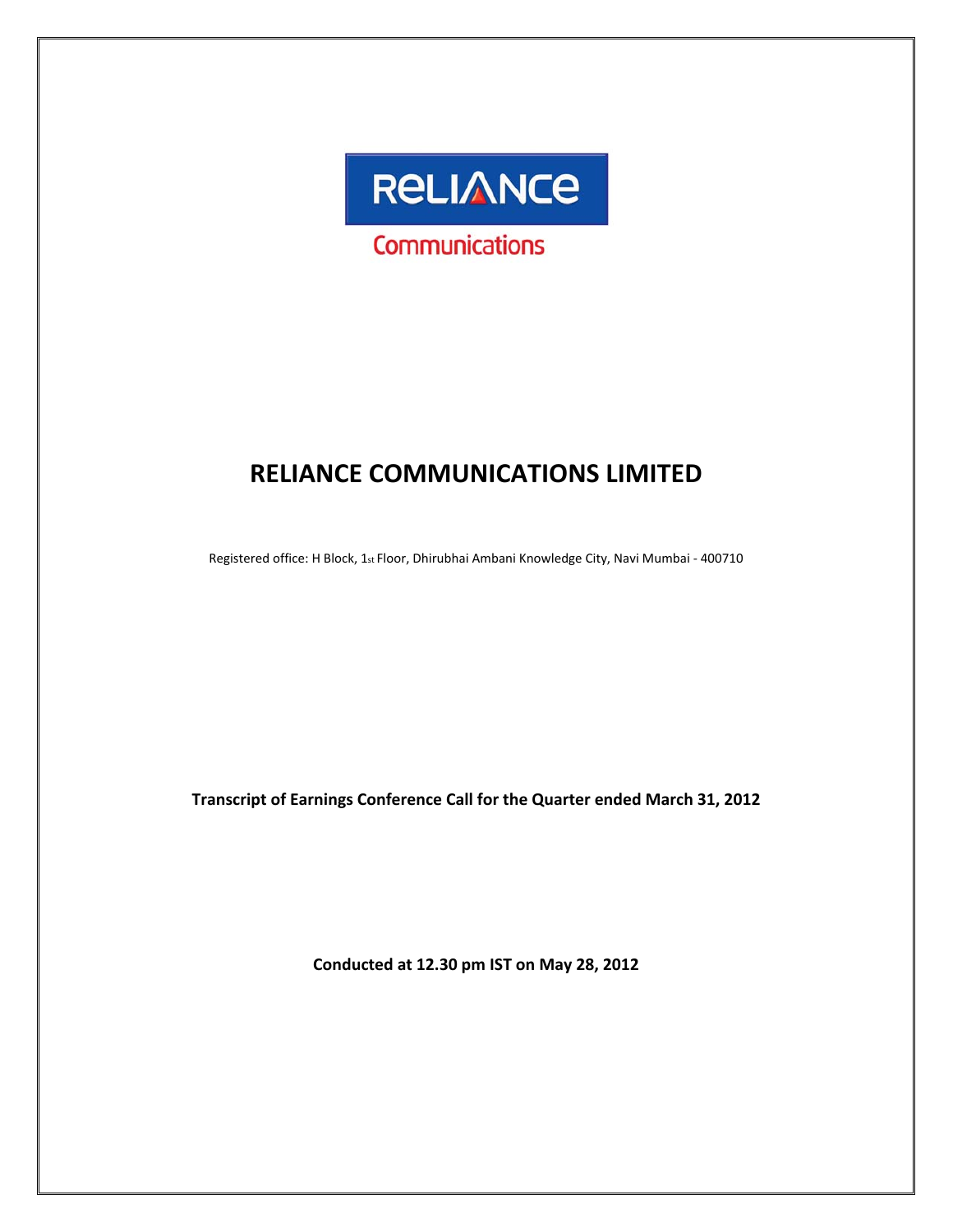

# **RELIANCE COMMUNICATIONS LIMITED**

Registered office: H Block, 1st Floor, Dhirubhai Ambani Knowledge City, Navi Mumbai - 400710

**Transcript of Earnings Conference Call for the Quarter ended March 31, 2012**

**Conducted at 12.30 pm IST on May 28, 2012**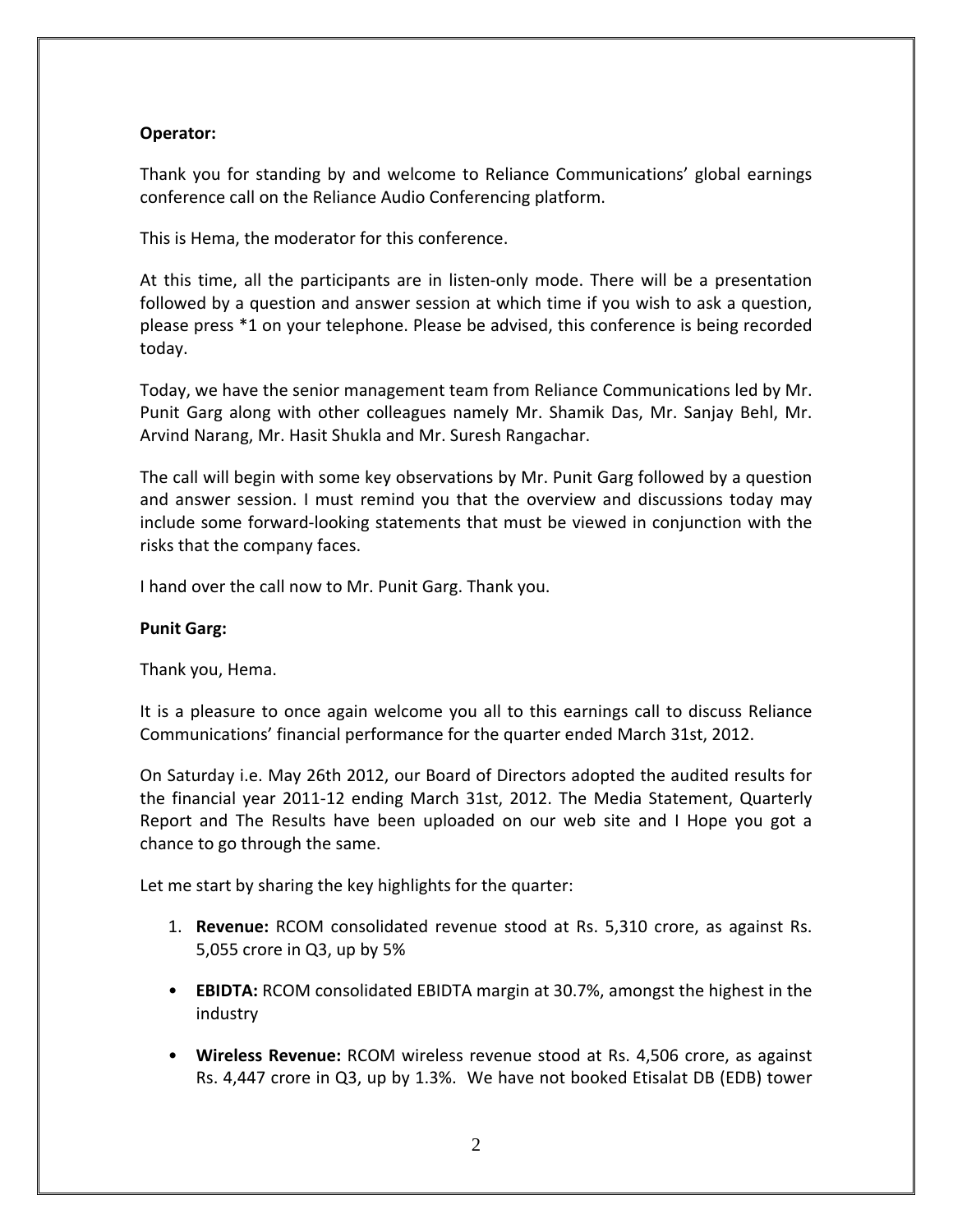# **Operator:**

Thank you for standing by and welcome to Reliance Communications' global earnings conference call on the Reliance Audio Conferencing platform.

This is Hema, the moderator for this conference.

At this time, all the participants are in listen-only mode. There will be a presentation followed by a question and answer session at which time if you wish to ask a question, please press \*1 on your telephone. Please be advised, this conference is being recorded today.

Today, we have the senior management team from Reliance Communications led by Mr. Punit Garg along with other colleagues namely Mr. Shamik Das, Mr. Sanjay Behl, Mr. Arvind Narang, Mr. Hasit Shukla and Mr. Suresh Rangachar.

The call will begin with some key observations by Mr. Punit Garg followed by a question and answer session. I must remind you that the overview and discussions today may include some forward‐looking statements that must be viewed in conjunction with the risks that the company faces.

I hand over the call now to Mr. Punit Garg. Thank you.

# **Punit Garg:**

Thank you, Hema.

It is a pleasure to once again welcome you all to this earnings call to discuss Reliance Communications' financial performance for the quarter ended March 31st, 2012.

On Saturday i.e. May 26th 2012, our Board of Directors adopted the audited results for the financial year 2011‐12 ending March 31st, 2012. The Media Statement, Quarterly Report and The Results have been uploaded on our web site and I Hope you got a chance to go through the same.

Let me start by sharing the key highlights for the quarter:

- 1. **Revenue:** RCOM consolidated revenue stood at Rs. 5,310 crore, as against Rs. 5,055 crore in Q3, up by 5%
- **EBIDTA:** RCOM consolidated EBIDTA margin at 30.7%, amongst the highest in the industry
- **Wireless Revenue:** RCOM wireless revenue stood at Rs. 4,506 crore, as against Rs. 4,447 crore in Q3, up by 1.3%. We have not booked Etisalat DB (EDB) tower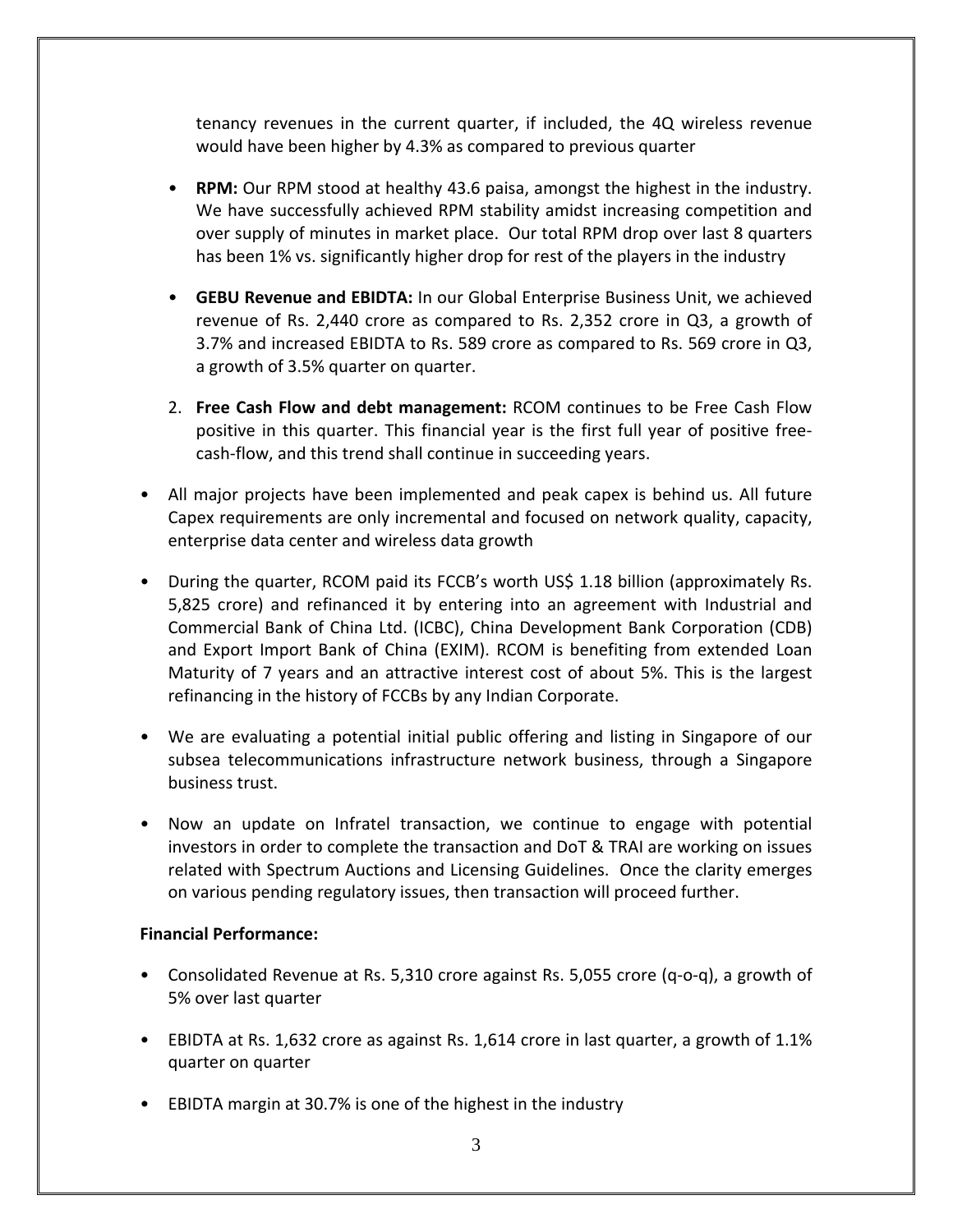tenancy revenues in the current quarter, if included, the 4Q wireless revenue would have been higher by 4.3% as compared to previous quarter

- **RPM:** Our RPM stood at healthy 43.6 paisa, amongst the highest in the industry. We have successfully achieved RPM stability amidst increasing competition and over supply of minutes in market place. Our total RPM drop over last 8 quarters has been 1% vs. significantly higher drop for rest of the players in the industry
- **GEBU Revenue and EBIDTA:** In our Global Enterprise Business Unit, we achieved revenue of Rs. 2,440 crore as compared to Rs. 2,352 crore in Q3, a growth of 3.7% and increased EBIDTA to Rs. 589 crore as compared to Rs. 569 crore in Q3, a growth of 3.5% quarter on quarter.
- 2. **Free Cash Flow and debt management:** RCOM continues to be Free Cash Flow positive in this quarter. This financial year is the first full year of positive free‐ cash‐flow, and this trend shall continue in succeeding years.
- All major projects have been implemented and peak capex is behind us. All future Capex requirements are only incremental and focused on network quality, capacity, enterprise data center and wireless data growth
- During the quarter, RCOM paid its FCCB's worth US\$ 1.18 billion (approximately Rs. 5,825 crore) and refinanced it by entering into an agreement with Industrial and Commercial Bank of China Ltd. (ICBC), China Development Bank Corporation (CDB) and Export Import Bank of China (EXIM). RCOM is benefiting from extended Loan Maturity of 7 years and an attractive interest cost of about 5%. This is the largest refinancing in the history of FCCBs by any Indian Corporate.
- We are evaluating a potential initial public offering and listing in Singapore of our subsea telecommunications infrastructure network business, through a Singapore business trust.
- Now an update on Infratel transaction, we continue to engage with potential investors in order to complete the transaction and DoT & TRAI are working on issues related with Spectrum Auctions and Licensing Guidelines. Once the clarity emerges on various pending regulatory issues, then transaction will proceed further.

# **Financial Performance:**

- Consolidated Revenue at Rs. 5,310 crore against Rs. 5,055 crore (q-o-q), a growth of 5% over last quarter
- EBIDTA at Rs. 1,632 crore as against Rs. 1,614 crore in last quarter, a growth of 1.1% quarter on quarter
- EBIDTA margin at 30.7% is one of the highest in the industry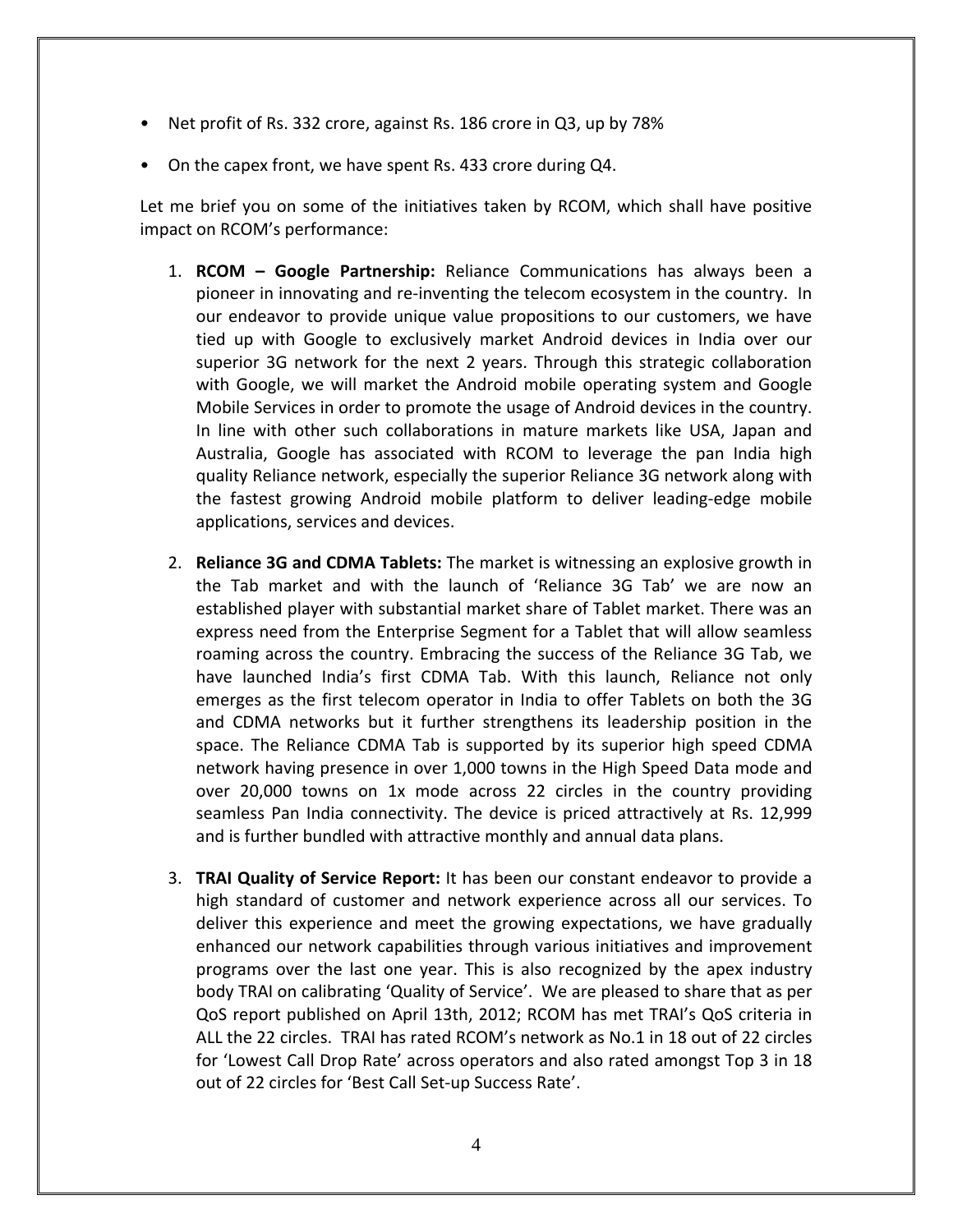- Net profit of Rs. 332 crore, against Rs. 186 crore in Q3, up by 78%
- On the capex front, we have spent Rs. 433 crore during Q4.

Let me brief you on some of the initiatives taken by RCOM, which shall have positive impact on RCOM's performance:

- 1. **RCOM – Google Partnership:** Reliance Communications has always been a pioneer in innovating and re‐inventing the telecom ecosystem in the country. In our endeavor to provide unique value propositions to our customers, we have tied up with Google to exclusively market Android devices in India over our superior 3G network for the next 2 years. Through this strategic collaboration with Google, we will market the Android mobile operating system and Google Mobile Services in order to promote the usage of Android devices in the country. In line with other such collaborations in mature markets like USA, Japan and Australia, Google has associated with RCOM to leverage the pan India high quality Reliance network, especially the superior Reliance 3G network along with the fastest growing Android mobile platform to deliver leading‐edge mobile applications, services and devices.
- 2. **Reliance 3G and CDMA Tablets:** The market is witnessing an explosive growth in the Tab market and with the launch of 'Reliance 3G Tab' we are now an established player with substantial market share of Tablet market. There was an express need from the Enterprise Segment for a Tablet that will allow seamless roaming across the country. Embracing the success of the Reliance 3G Tab, we have launched India's first CDMA Tab. With this launch, Reliance not only emerges as the first telecom operator in India to offer Tablets on both the 3G and CDMA networks but it further strengthens its leadership position in the space. The Reliance CDMA Tab is supported by its superior high speed CDMA network having presence in over 1,000 towns in the High Speed Data mode and over 20,000 towns on 1x mode across 22 circles in the country providing seamless Pan India connectivity. The device is priced attractively at Rs. 12,999 and is further bundled with attractive monthly and annual data plans.
- 3. **TRAI Quality of Service Report:** It has been our constant endeavor to provide a high standard of customer and network experience across all our services. To deliver this experience and meet the growing expectations, we have gradually enhanced our network capabilities through various initiatives and improvement programs over the last one year. This is also recognized by the apex industry body TRAI on calibrating 'Quality of Service'. We are pleased to share that as per QoS report published on April 13th, 2012; RCOM has met TRAI's QoS criteria in ALL the 22 circles. TRAI has rated RCOM's network as No.1 in 18 out of 22 circles for 'Lowest Call Drop Rate' across operators and also rated amongst Top 3 in 18 out of 22 circles for 'Best Call Set‐up Success Rate'.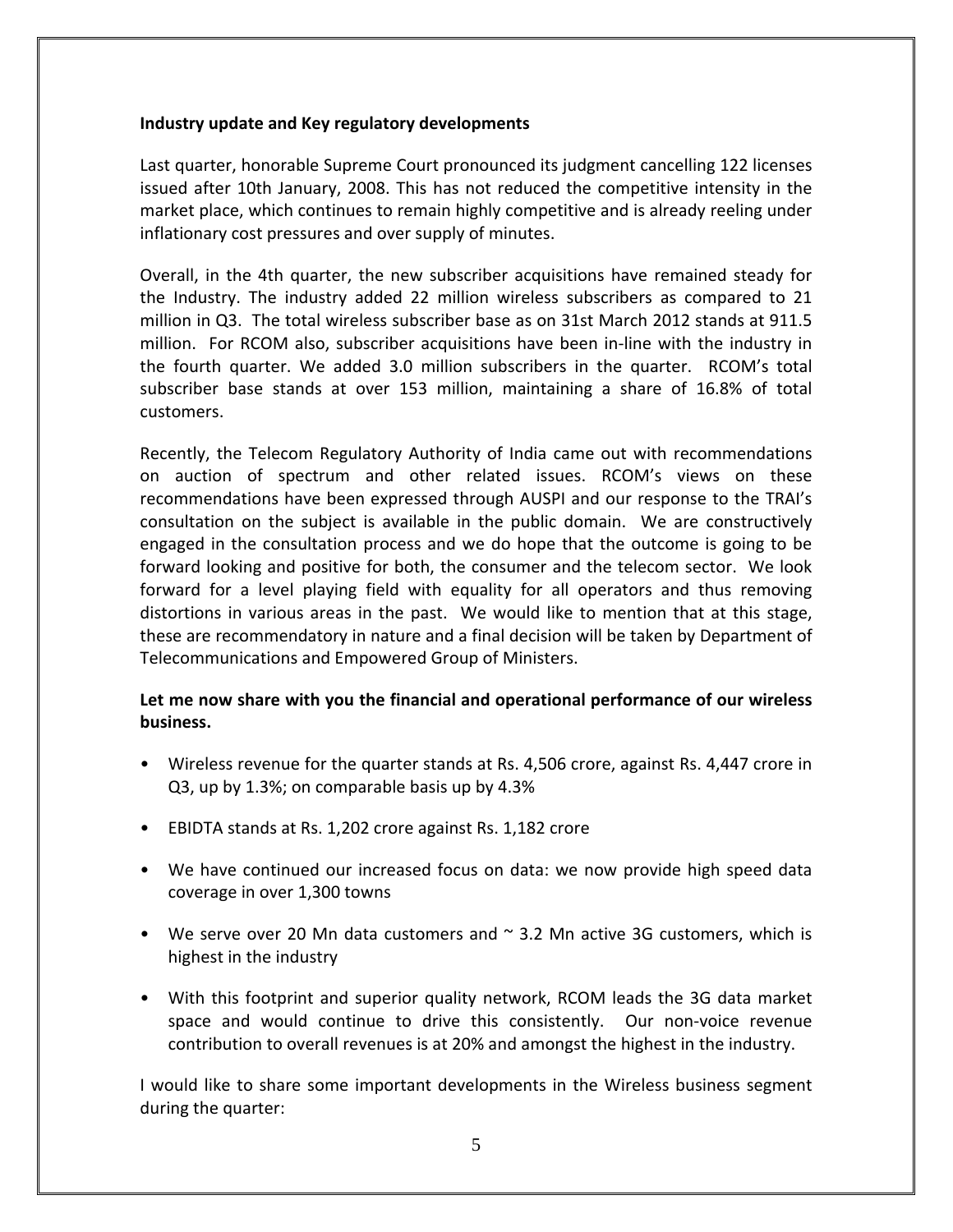# **Industry update and Key regulatory developments**

Last quarter, honorable Supreme Court pronounced its judgment cancelling 122 licenses issued after 10th January, 2008. This has not reduced the competitive intensity in the market place, which continues to remain highly competitive and is already reeling under inflationary cost pressures and over supply of minutes.

Overall, in the 4th quarter, the new subscriber acquisitions have remained steady for the Industry. The industry added 22 million wireless subscribers as compared to 21 million in Q3. The total wireless subscriber base as on 31st March 2012 stands at 911.5 million. For RCOM also, subscriber acquisitions have been in‐line with the industry in the fourth quarter. We added 3.0 million subscribers in the quarter. RCOM's total subscriber base stands at over 153 million, maintaining a share of 16.8% of total customers.

Recently, the Telecom Regulatory Authority of India came out with recommendations on auction of spectrum and other related issues. RCOM's views on these recommendations have been expressed through AUSPI and our response to the TRAI's consultation on the subject is available in the public domain. We are constructively engaged in the consultation process and we do hope that the outcome is going to be forward looking and positive for both, the consumer and the telecom sector. We look forward for a level playing field with equality for all operators and thus removing distortions in various areas in the past. We would like to mention that at this stage, these are recommendatory in nature and a final decision will be taken by Department of Telecommunications and Empowered Group of Ministers.

# **Let me now share with you the financial and operational performance of our wireless business.**

- Wireless revenue for the quarter stands at Rs. 4,506 crore, against Rs. 4,447 crore in Q3, up by 1.3%; on comparable basis up by 4.3%
- EBIDTA stands at Rs. 1,202 crore against Rs. 1,182 crore
- We have continued our increased focus on data: we now provide high speed data coverage in over 1,300 towns
- We serve over 20 Mn data customers and  $\sim$  3.2 Mn active 3G customers, which is highest in the industry
- With this footprint and superior quality network, RCOM leads the 3G data market space and would continue to drive this consistently. Our non-voice revenue contribution to overall revenues is at 20% and amongst the highest in the industry.

I would like to share some important developments in the Wireless business segment during the quarter: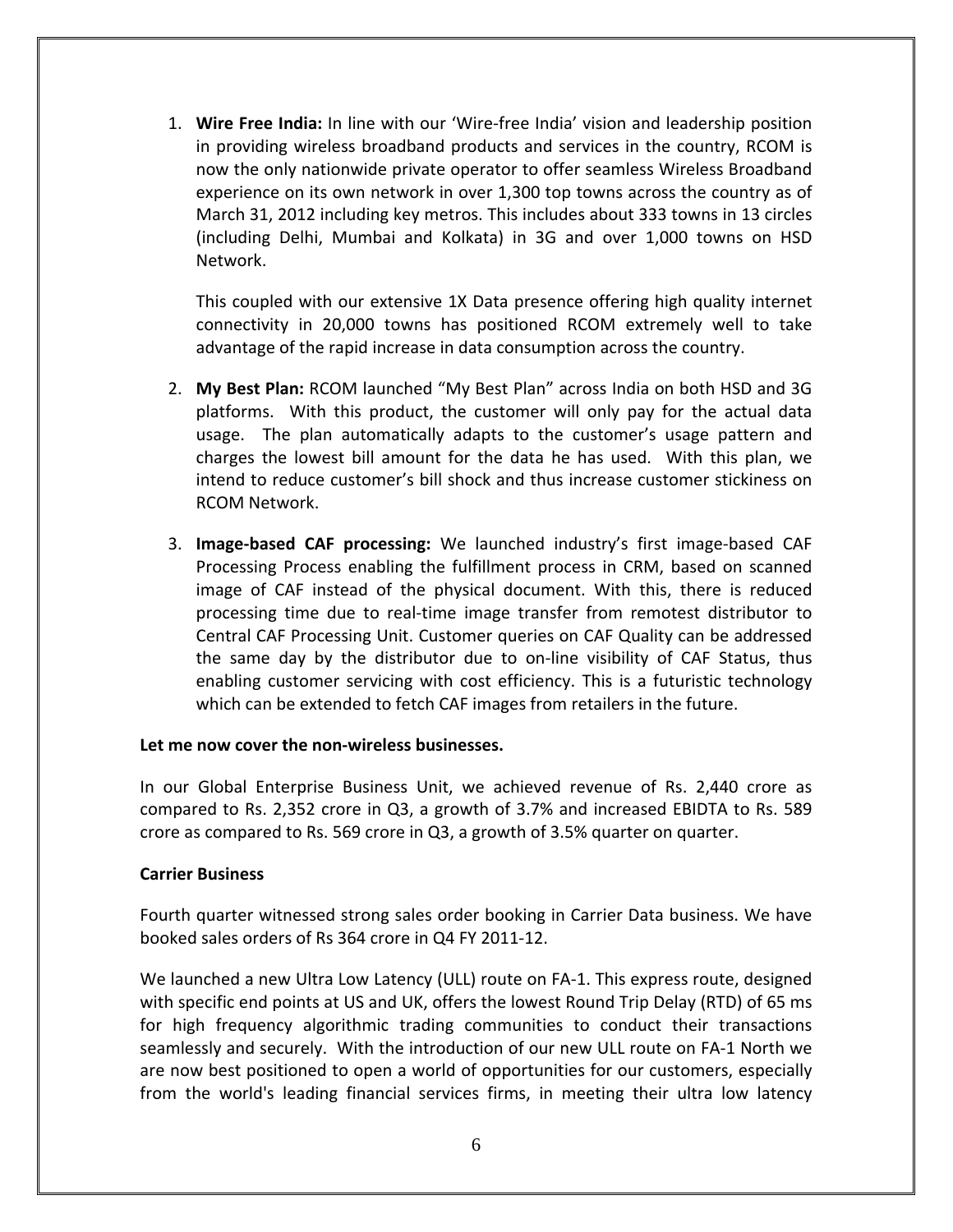1. **Wire Free India:** In line with our 'Wire‐free India' vision and leadership position in providing wireless broadband products and services in the country, RCOM is now the only nationwide private operator to offer seamless Wireless Broadband experience on its own network in over 1,300 top towns across the country as of March 31, 2012 including key metros. This includes about 333 towns in 13 circles (including Delhi, Mumbai and Kolkata) in 3G and over 1,000 towns on HSD Network.

This coupled with our extensive 1X Data presence offering high quality internet connectivity in 20,000 towns has positioned RCOM extremely well to take advantage of the rapid increase in data consumption across the country.

- 2. **My Best Plan:** RCOM launched "My Best Plan" across India on both HSD and 3G platforms. With this product, the customer will only pay for the actual data usage. The plan automatically adapts to the customer's usage pattern and charges the lowest bill amount for the data he has used. With this plan, we intend to reduce customer's bill shock and thus increase customer stickiness on RCOM Network.
- 3. **Image‐based CAF processing:** We launched industry's first image‐based CAF Processing Process enabling the fulfillment process in CRM, based on scanned image of CAF instead of the physical document. With this, there is reduced processing time due to real‐time image transfer from remotest distributor to Central CAF Processing Unit. Customer queries on CAF Quality can be addressed the same day by the distributor due to on‐line visibility of CAF Status, thus enabling customer servicing with cost efficiency. This is a futuristic technology which can be extended to fetch CAF images from retailers in the future.

# **Let me now cover the non‐wireless businesses.**

In our Global Enterprise Business Unit, we achieved revenue of Rs. 2,440 crore as compared to Rs. 2,352 crore in Q3, a growth of 3.7% and increased EBIDTA to Rs. 589 crore as compared to Rs. 569 crore in  $Q_3$ , a growth of 3.5% quarter on quarter.

# **Carrier Business**

Fourth quarter witnessed strong sales order booking in Carrier Data business. We have booked sales orders of Rs 364 crore in Q4 FY 2011‐12.

We launched a new Ultra Low Latency (ULL) route on FA‐1. This express route, designed with specific end points at US and UK, offers the lowest Round Trip Delay (RTD) of 65 ms for high frequency algorithmic trading communities to conduct their transactions seamlessly and securely. With the introduction of our new ULL route on FA‐1 North we are now best positioned to open a world of opportunities for our customers, especially from the world's leading financial services firms, in meeting their ultra low latency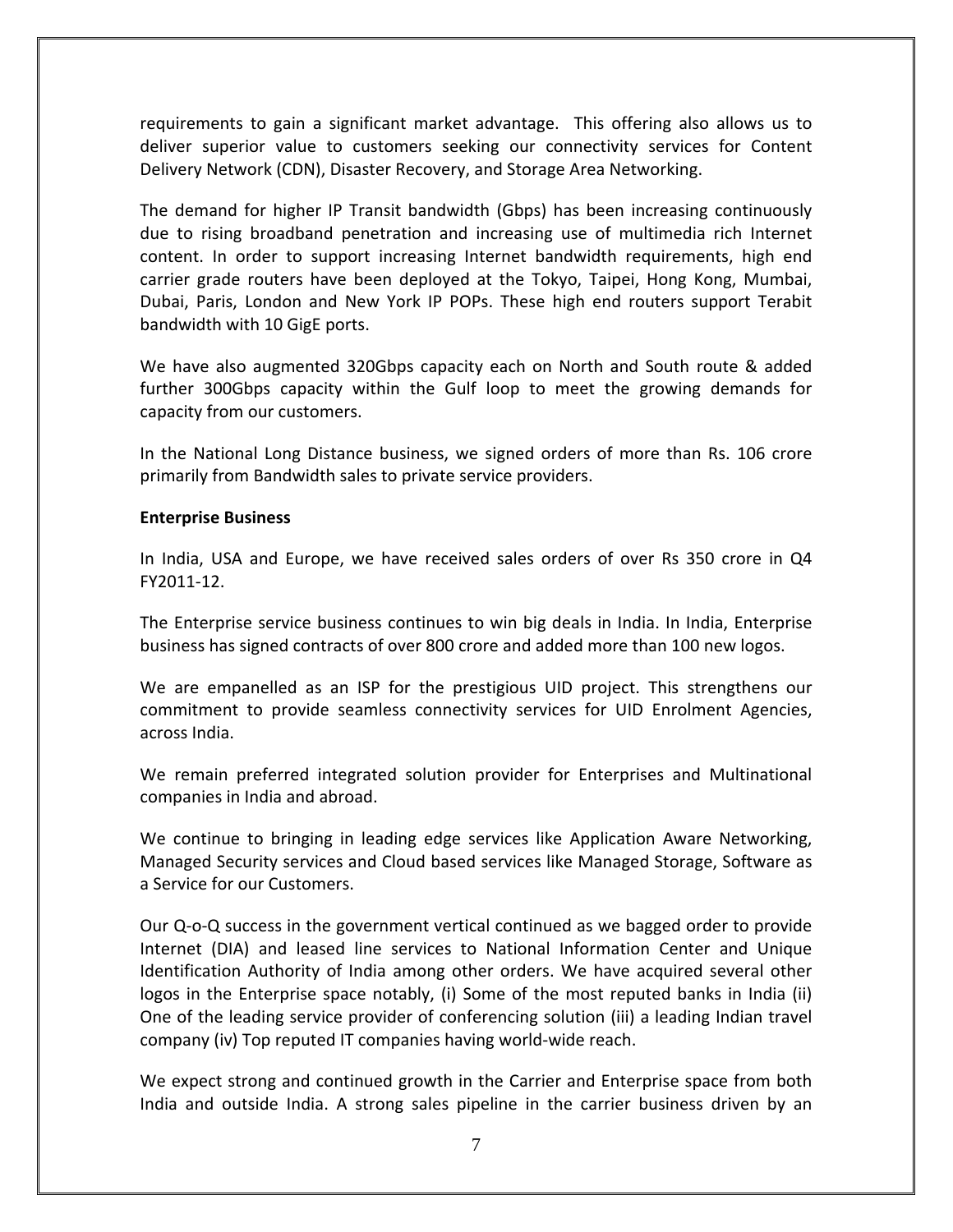requirements to gain a significant market advantage. This offering also allows us to deliver superior value to customers seeking our connectivity services for Content Delivery Network (CDN), Disaster Recovery, and Storage Area Networking.

The demand for higher IP Transit bandwidth (Gbps) has been increasing continuously due to rising broadband penetration and increasing use of multimedia rich Internet content. In order to support increasing Internet bandwidth requirements, high end carrier grade routers have been deployed at the Tokyo, Taipei, Hong Kong, Mumbai, Dubai, Paris, London and New York IP POPs. These high end routers support Terabit bandwidth with 10 GigE ports.

We have also augmented 320Gbps capacity each on North and South route & added further 300Gbps capacity within the Gulf loop to meet the growing demands for capacity from our customers.

In the National Long Distance business, we signed orders of more than Rs. 106 crore primarily from Bandwidth sales to private service providers.

# **Enterprise Business**

In India, USA and Europe, we have received sales orders of over Rs 350 crore in Q4 FY2011‐12.

The Enterprise service business continues to win big deals in India. In India, Enterprise business has signed contracts of over 800 crore and added more than 100 new logos.

We are empanelled as an ISP for the prestigious UID project. This strengthens our commitment to provide seamless connectivity services for UID Enrolment Agencies, across India.

We remain preferred integrated solution provider for Enterprises and Multinational companies in India and abroad.

We continue to bringing in leading edge services like Application Aware Networking, Managed Security services and Cloud based services like Managed Storage, Software as a Service for our Customers.

Our Q‐o‐Q success in the government vertical continued as we bagged order to provide Internet (DIA) and leased line services to National Information Center and Unique Identification Authority of India among other orders. We have acquired several other logos in the Enterprise space notably, (i) Some of the most reputed banks in India (ii) One of the leading service provider of conferencing solution (iii) a leading Indian travel company (iv) Top reputed IT companies having world‐wide reach.

We expect strong and continued growth in the Carrier and Enterprise space from both India and outside India. A strong sales pipeline in the carrier business driven by an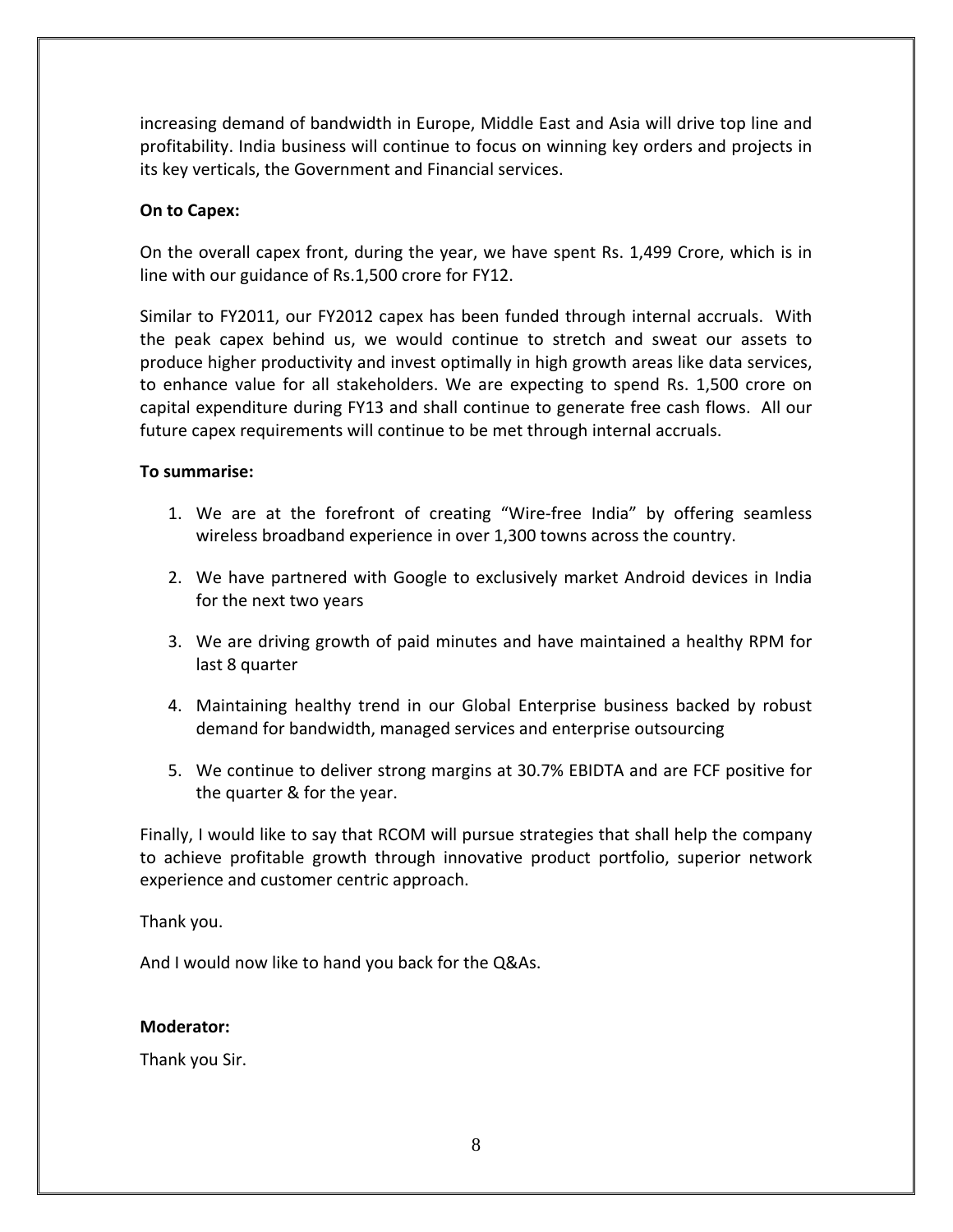increasing demand of bandwidth in Europe, Middle East and Asia will drive top line and profitability. India business will continue to focus on winning key orders and projects in its key verticals, the Government and Financial services.

# **On to Capex:**

On the overall capex front, during the year, we have spent Rs. 1,499 Crore, which is in line with our guidance of Rs.1,500 crore for FY12.

Similar to FY2011, our FY2012 capex has been funded through internal accruals. With the peak capex behind us, we would continue to stretch and sweat our assets to produce higher productivity and invest optimally in high growth areas like data services, to enhance value for all stakeholders. We are expecting to spend Rs. 1,500 crore on capital expenditure during FY13 and shall continue to generate free cash flows. All our future capex requirements will continue to be met through internal accruals.

# **To summarise:**

- 1. We are at the forefront of creating "Wire‐free India" by offering seamless wireless broadband experience in over 1,300 towns across the country.
- 2. We have partnered with Google to exclusively market Android devices in India for the next two years
- 3. We are driving growth of paid minutes and have maintained a healthy RPM for last 8 quarter
- 4. Maintaining healthy trend in our Global Enterprise business backed by robust demand for bandwidth, managed services and enterprise outsourcing
- 5. We continue to deliver strong margins at 30.7% EBIDTA and are FCF positive for the quarter & for the year.

Finally, I would like to say that RCOM will pursue strategies that shall help the company to achieve profitable growth through innovative product portfolio, superior network experience and customer centric approach.

Thank you.

And I would now like to hand you back for the Q&As.

# **Moderator:**

Thank you Sir.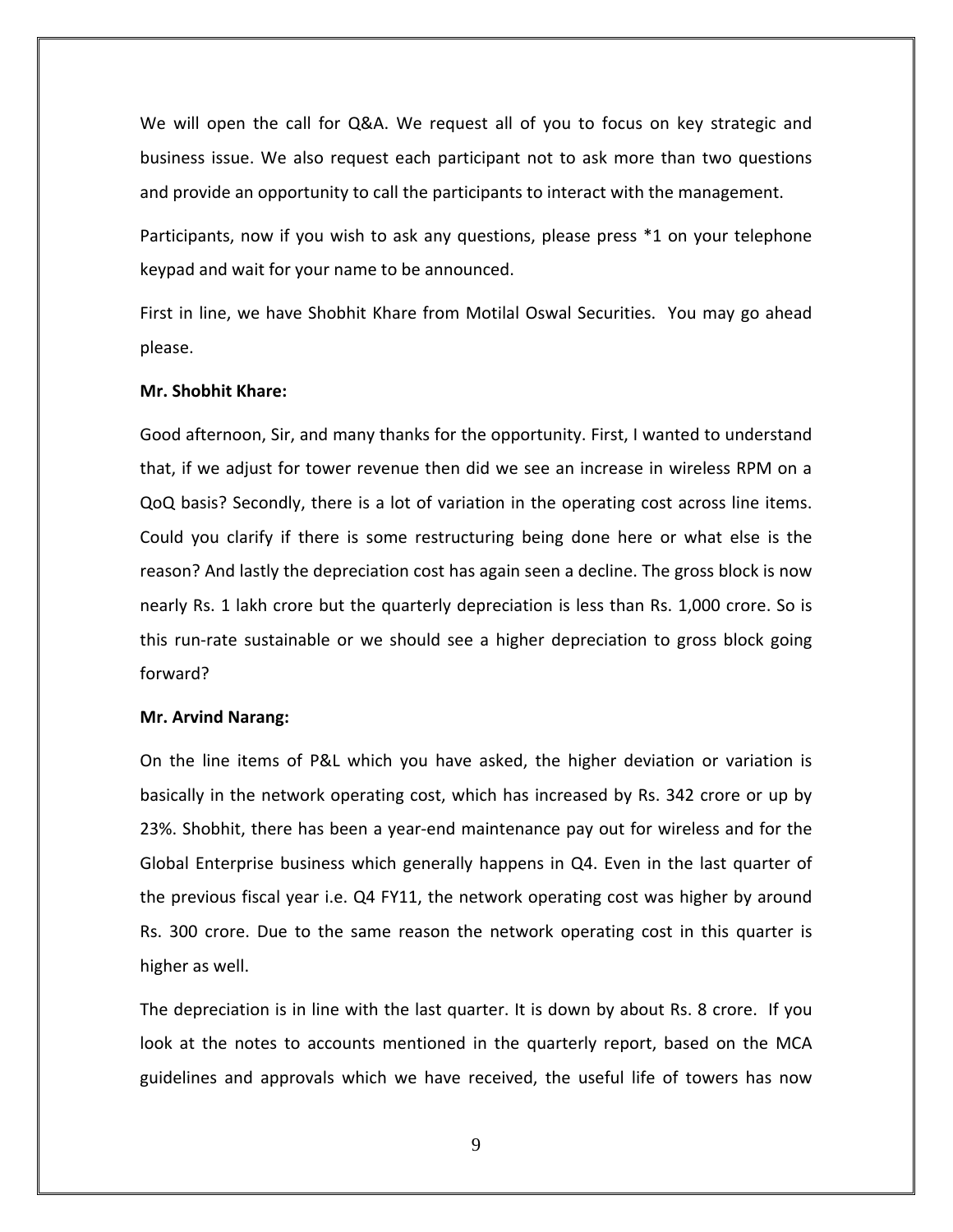We will open the call for Q&A. We request all of you to focus on key strategic and business issue. We also request each participant not to ask more than two questions and provide an opportunity to call the participants to interact with the management.

Participants, now if you wish to ask any questions, please press \*1 on your telephone keypad and wait for your name to be announced.

First in line, we have Shobhit Khare from Motilal Oswal Securities. You may go ahead please.

#### **Mr. Shobhit Khare:**

Good afternoon, Sir, and many thanks for the opportunity. First, I wanted to understand that, if we adjust for tower revenue then did we see an increase in wireless RPM on a QoQ basis? Secondly, there is a lot of variation in the operating cost across line items. Could you clarify if there is some restructuring being done here or what else is the reason? And lastly the depreciation cost has again seen a decline. The gross block is now nearly Rs. 1 lakh crore but the quarterly depreciation is less than Rs. 1,000 crore. So is this run‐rate sustainable or we should see a higher depreciation to gross block going forward?

#### **Mr. Arvind Narang:**

On the line items of P&L which you have asked, the higher deviation or variation is basically in the network operating cost, which has increased by Rs. 342 crore or up by 23%. Shobhit, there has been a year‐end maintenance pay out for wireless and for the Global Enterprise business which generally happens in Q4. Even in the last quarter of the previous fiscal year i.e. Q4 FY11, the network operating cost was higher by around Rs. 300 crore. Due to the same reason the network operating cost in this quarter is higher as well.

The depreciation is in line with the last quarter. It is down by about Rs. 8 crore. If you look at the notes to accounts mentioned in the quarterly report, based on the MCA guidelines and approvals which we have received, the useful life of towers has now

9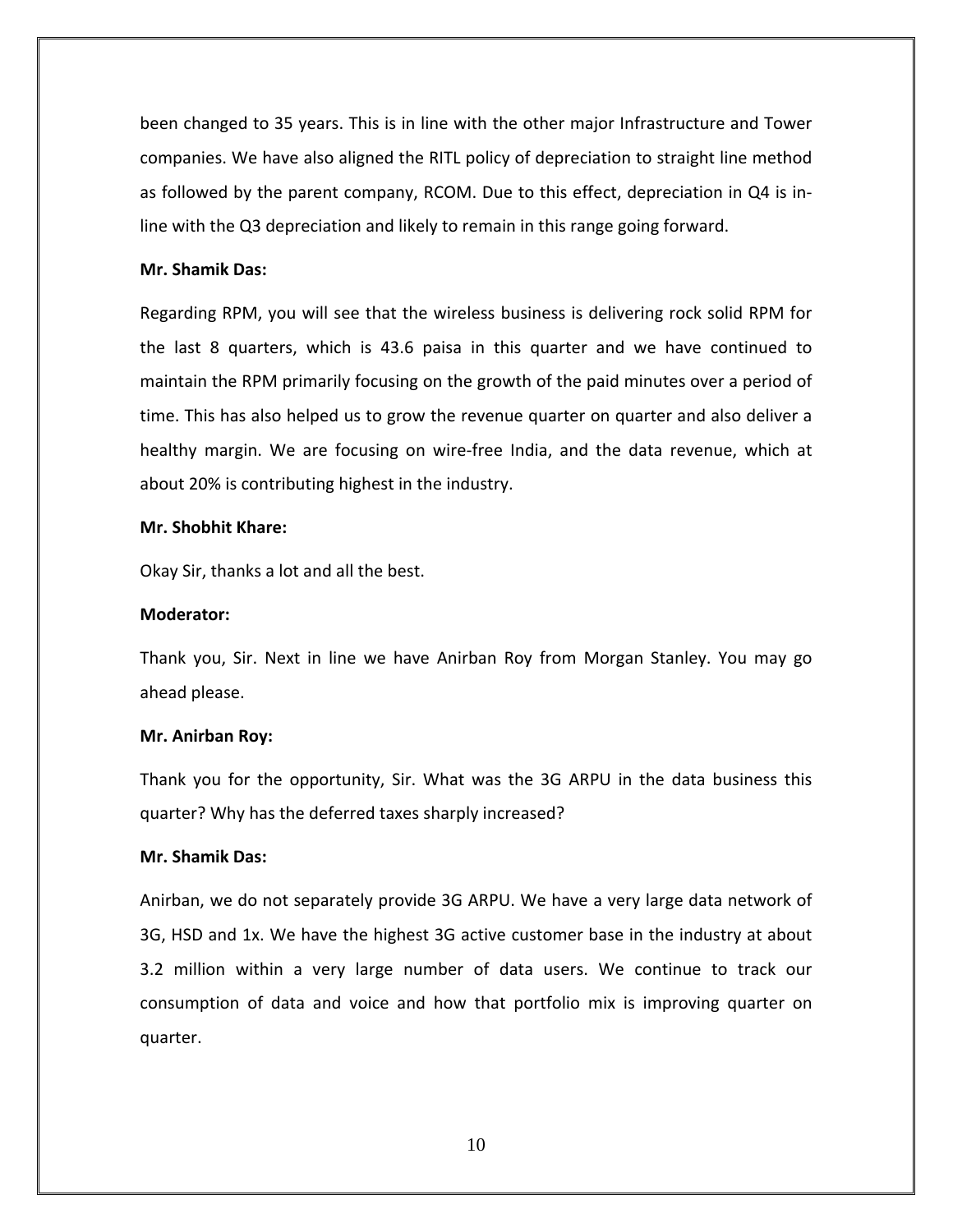been changed to 35 years. This is in line with the other major Infrastructure and Tower companies. We have also aligned the RITL policy of depreciation to straight line method as followed by the parent company, RCOM. Due to this effect, depreciation in Q4 is in‐ line with the Q3 depreciation and likely to remain in this range going forward.

## **Mr. Shamik Das:**

Regarding RPM, you will see that the wireless business is delivering rock solid RPM for the last 8 quarters, which is 43.6 paisa in this quarter and we have continued to maintain the RPM primarily focusing on the growth of the paid minutes over a period of time. This has also helped us to grow the revenue quarter on quarter and also deliver a healthy margin. We are focusing on wire‐free India, and the data revenue, which at about 20% is contributing highest in the industry.

## **Mr. Shobhit Khare:**

Okay Sir, thanks a lot and all the best.

## **Moderator:**

Thank you, Sir. Next in line we have Anirban Roy from Morgan Stanley. You may go ahead please.

## **Mr. Anirban Roy:**

Thank you for the opportunity, Sir. What was the 3G ARPU in the data business this quarter? Why has the deferred taxes sharply increased?

# **Mr. Shamik Das:**

Anirban, we do not separately provide 3G ARPU. We have a very large data network of 3G, HSD and 1x. We have the highest 3G active customer base in the industry at about 3.2 million within a very large number of data users. We continue to track our consumption of data and voice and how that portfolio mix is improving quarter on quarter.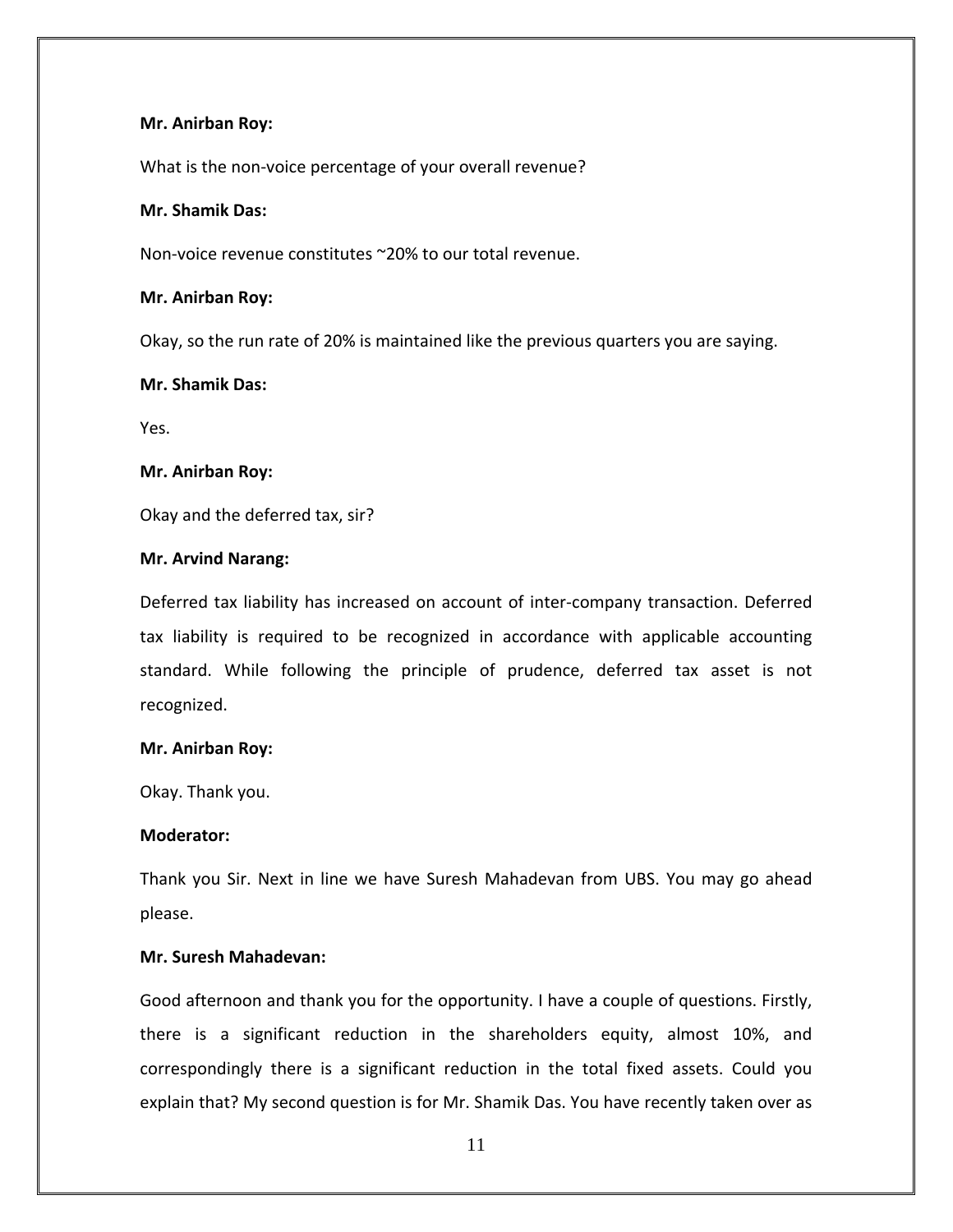## **Mr. Anirban Roy:**

What is the non-voice percentage of your overall revenue?

## **Mr. Shamik Das:**

Non‐voice revenue constitutes ~20% to our total revenue.

#### **Mr. Anirban Roy:**

Okay, so the run rate of 20% is maintained like the previous quarters you are saying.

# **Mr. Shamik Das:**

Yes.

## **Mr. Anirban Roy:**

Okay and the deferred tax, sir?

## **Mr. Arvind Narang:**

Deferred tax liability has increased on account of inter-company transaction. Deferred tax liability is required to be recognized in accordance with applicable accounting standard. While following the principle of prudence, deferred tax asset is not recognized.

#### **Mr. Anirban Roy:**

Okay. Thank you.

## **Moderator:**

Thank you Sir. Next in line we have Suresh Mahadevan from UBS. You may go ahead please.

## **Mr. Suresh Mahadevan:**

Good afternoon and thank you for the opportunity. I have a couple of questions. Firstly, there is a significant reduction in the shareholders equity, almost 10%, and correspondingly there is a significant reduction in the total fixed assets. Could you explain that? My second question is for Mr. Shamik Das. You have recently taken over as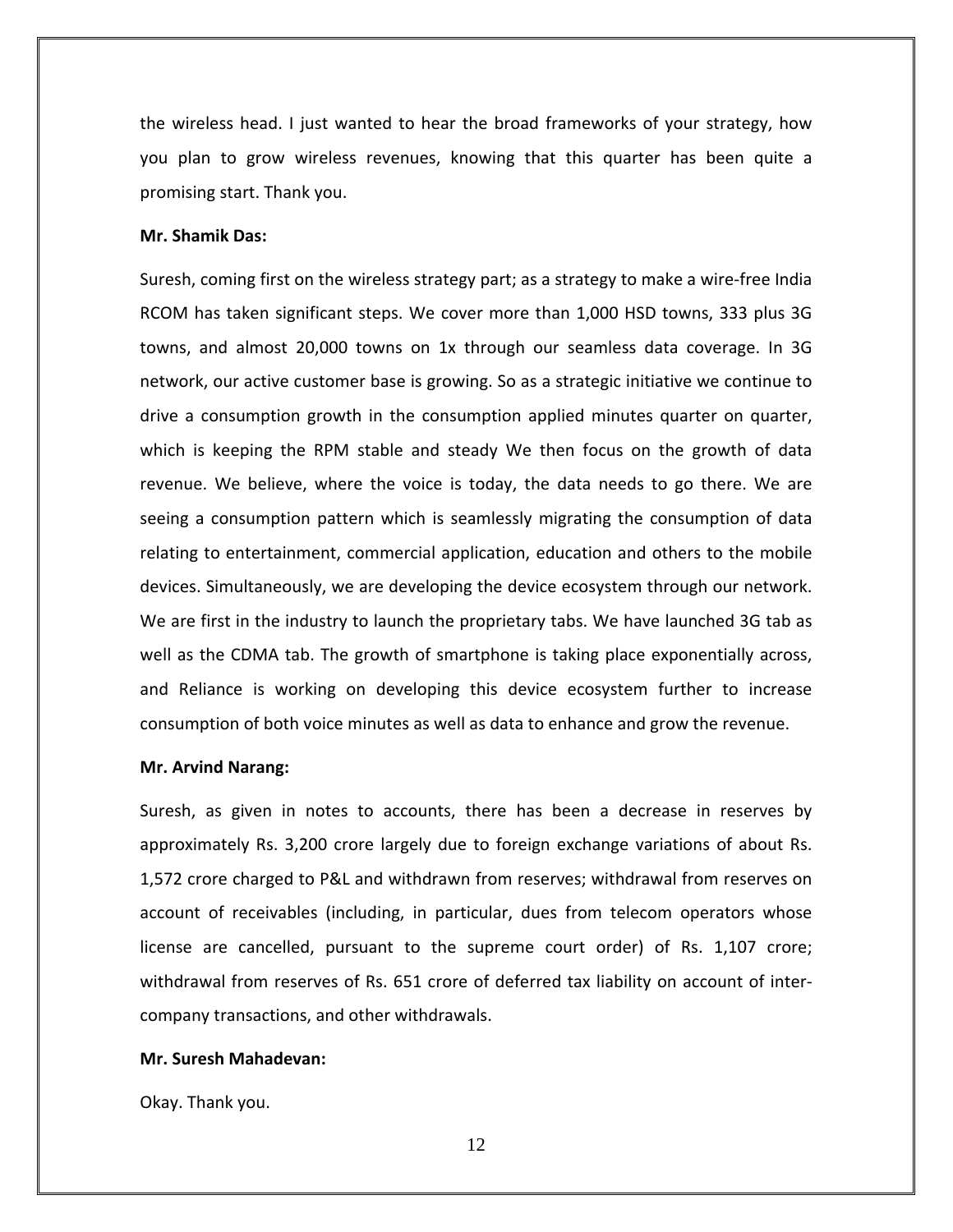the wireless head. I just wanted to hear the broad frameworks of your strategy, how you plan to grow wireless revenues, knowing that this quarter has been quite a promising start. Thank you.

## **Mr. Shamik Das:**

Suresh, coming first on the wireless strategy part; as a strategy to make a wire‐free India RCOM has taken significant steps. We cover more than 1,000 HSD towns, 333 plus 3G towns, and almost 20,000 towns on 1x through our seamless data coverage. In 3G network, our active customer base is growing. So as a strategic initiative we continue to drive a consumption growth in the consumption applied minutes quarter on quarter, which is keeping the RPM stable and steady We then focus on the growth of data revenue. We believe, where the voice is today, the data needs to go there. We are seeing a consumption pattern which is seamlessly migrating the consumption of data relating to entertainment, commercial application, education and others to the mobile devices. Simultaneously, we are developing the device ecosystem through our network. We are first in the industry to launch the proprietary tabs. We have launched 3G tab as well as the CDMA tab. The growth of smartphone is taking place exponentially across, and Reliance is working on developing this device ecosystem further to increase consumption of both voice minutes as well as data to enhance and grow the revenue.

#### **Mr. Arvind Narang:**

Suresh, as given in notes to accounts, there has been a decrease in reserves by approximately Rs. 3,200 crore largely due to foreign exchange variations of about Rs. 1,572 crore charged to P&L and withdrawn from reserves; withdrawal from reserves on account of receivables (including, in particular, dues from telecom operators whose license are cancelled, pursuant to the supreme court order) of Rs. 1,107 crore; withdrawal from reserves of Rs. 651 crore of deferred tax liability on account of inter‐ company transactions, and other withdrawals.

#### **Mr. Suresh Mahadevan:**

Okay. Thank you.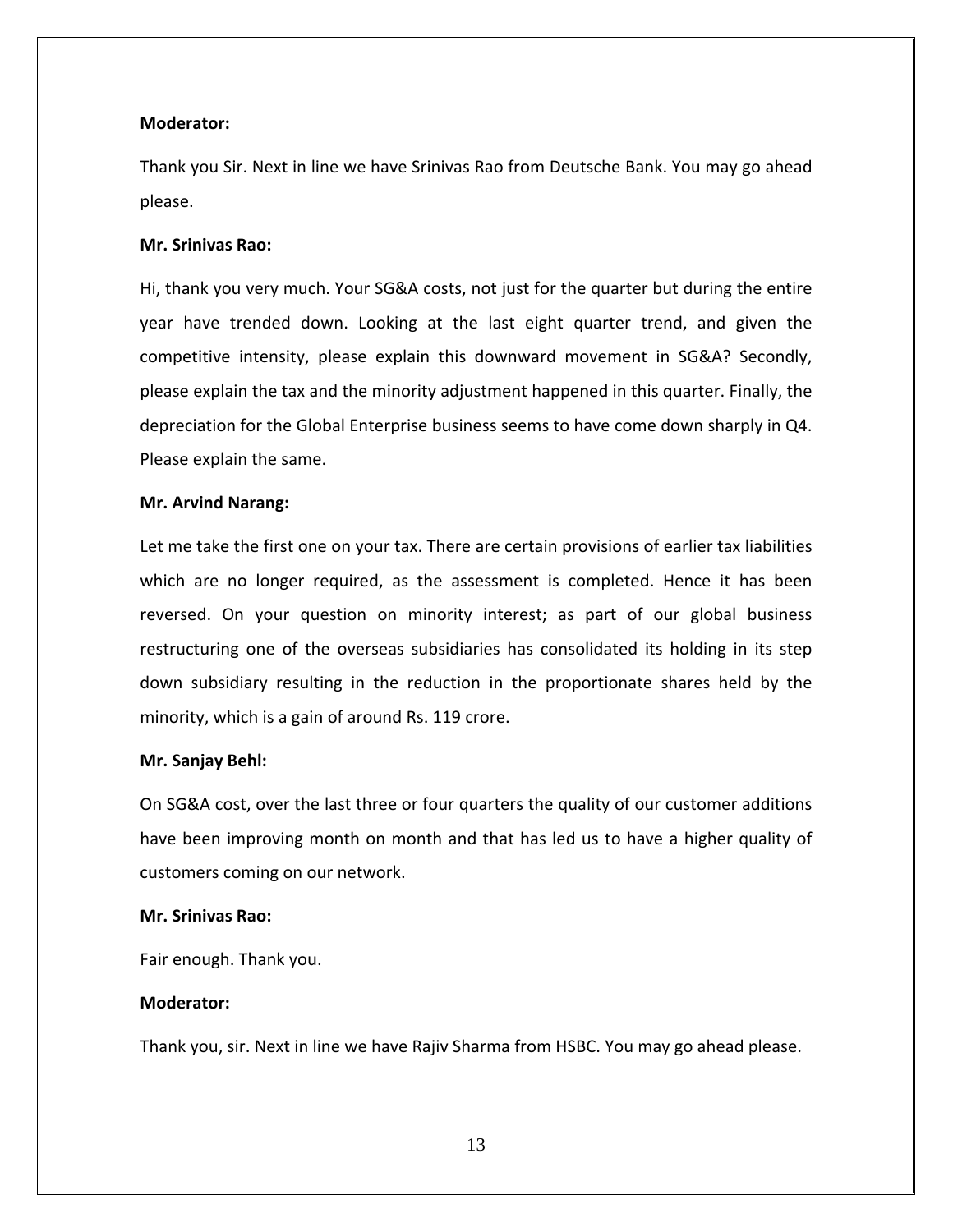## **Moderator:**

Thank you Sir. Next in line we have Srinivas Rao from Deutsche Bank. You may go ahead please.

## **Mr. Srinivas Rao:**

Hi, thank you very much. Your SG&A costs, not just for the quarter but during the entire year have trended down. Looking at the last eight quarter trend, and given the competitive intensity, please explain this downward movement in SG&A? Secondly, please explain the tax and the minority adjustment happened in this quarter. Finally, the depreciation for the Global Enterprise business seems to have come down sharply in Q4. Please explain the same.

## **Mr. Arvind Narang:**

Let me take the first one on your tax. There are certain provisions of earlier tax liabilities which are no longer required, as the assessment is completed. Hence it has been reversed. On your question on minority interest; as part of our global business restructuring one of the overseas subsidiaries has consolidated its holding in its step down subsidiary resulting in the reduction in the proportionate shares held by the minority, which is a gain of around Rs. 119 crore.

#### **Mr. Sanjay Behl:**

On SG&A cost, over the last three or four quarters the quality of our customer additions have been improving month on month and that has led us to have a higher quality of customers coming on our network.

## **Mr. Srinivas Rao:**

Fair enough. Thank you.

## **Moderator:**

Thank you, sir. Next in line we have Rajiv Sharma from HSBC. You may go ahead please.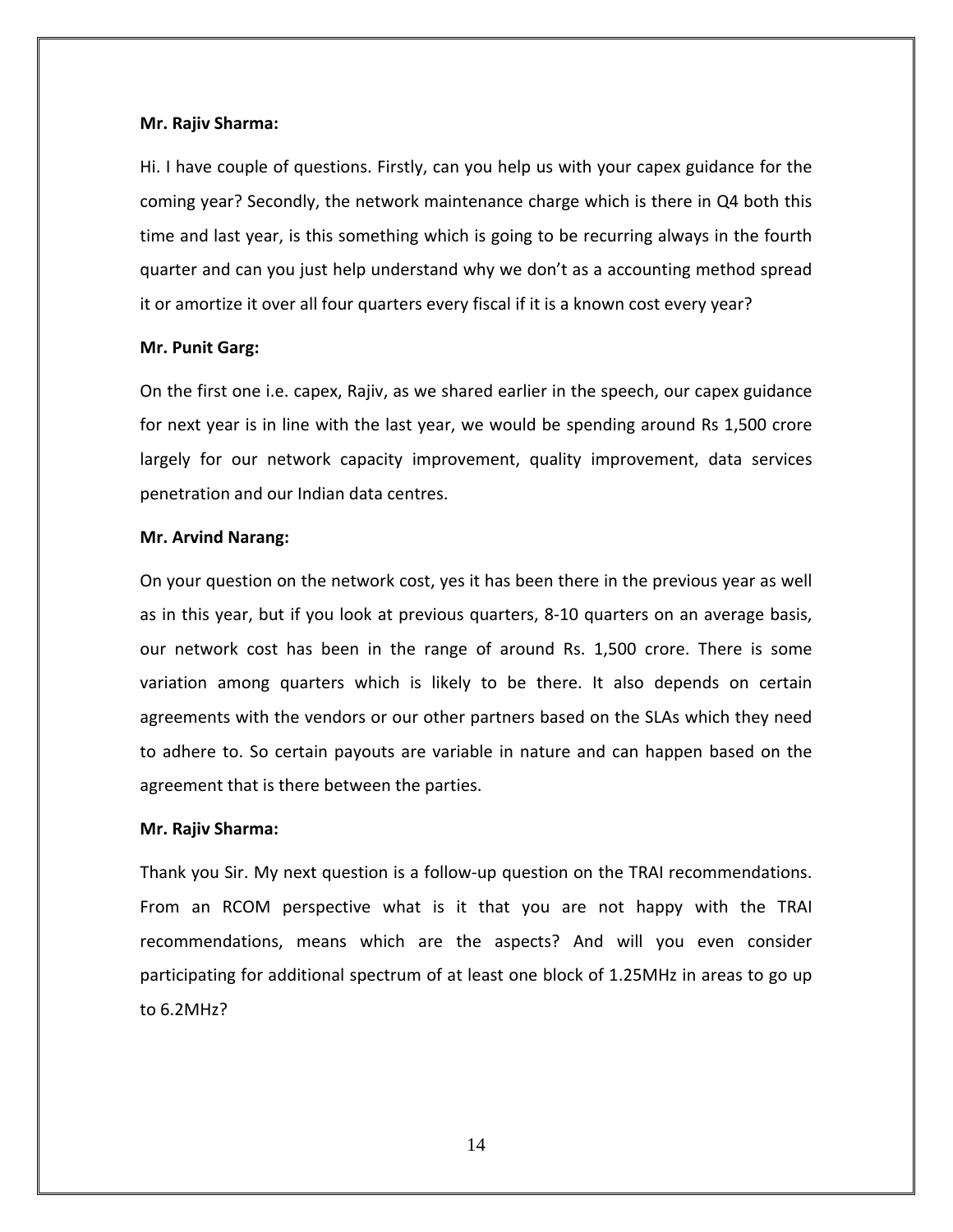#### **Mr. Rajiv Sharma:**

Hi. I have couple of questions. Firstly, can you help us with your capex guidance for the coming year? Secondly, the network maintenance charge which is there in Q4 both this time and last year, is this something which is going to be recurring always in the fourth quarter and can you just help understand why we don't as a accounting method spread it or amortize it over all four quarters every fiscal if it is a known cost every year?

#### **Mr. Punit Garg:**

On the first one i.e. capex, Rajiv, as we shared earlier in the speech, our capex guidance for next year is in line with the last year, we would be spending around Rs 1,500 crore largely for our network capacity improvement, quality improvement, data services penetration and our Indian data centres.

#### **Mr. Arvind Narang:**

On your question on the network cost, yes it has been there in the previous year as well as in this year, but if you look at previous quarters, 8‐10 quarters on an average basis, our network cost has been in the range of around Rs. 1,500 crore. There is some variation among quarters which is likely to be there. It also depends on certain agreements with the vendors or our other partners based on the SLAs which they need to adhere to. So certain payouts are variable in nature and can happen based on the agreement that is there between the parties.

#### **Mr. Rajiv Sharma:**

Thank you Sir. My next question is a follow‐up question on the TRAI recommendations. From an RCOM perspective what is it that you are not happy with the TRAI recommendations, means which are the aspects? And will you even consider participating for additional spectrum of at least one block of 1.25MHz in areas to go up to 6.2MHz?

14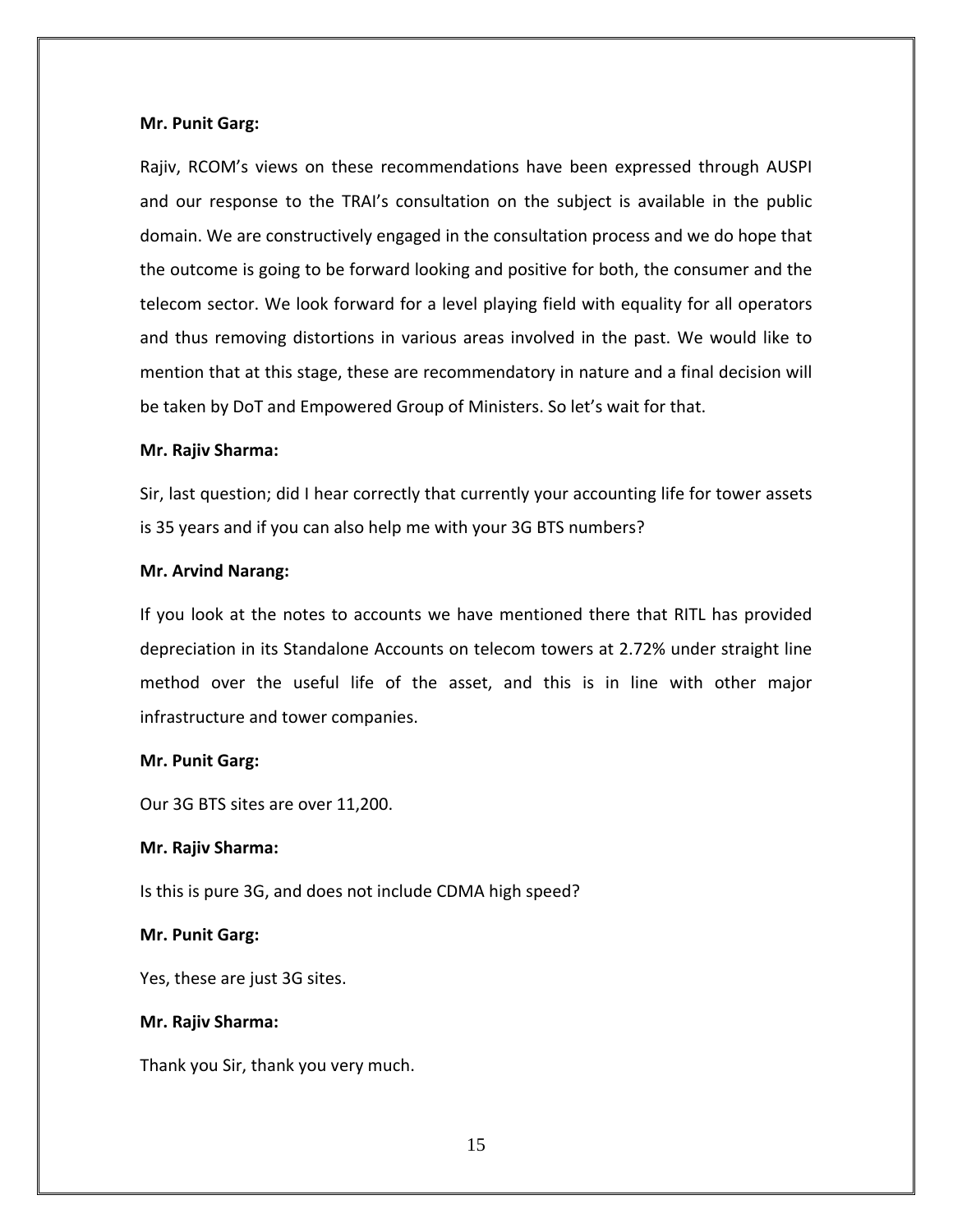## **Mr. Punit Garg:**

Rajiv, RCOM's views on these recommendations have been expressed through AUSPI and our response to the TRAI's consultation on the subject is available in the public domain. We are constructively engaged in the consultation process and we do hope that the outcome is going to be forward looking and positive for both, the consumer and the telecom sector. We look forward for a level playing field with equality for all operators and thus removing distortions in various areas involved in the past. We would like to mention that at this stage, these are recommendatory in nature and a final decision will be taken by DoT and Empowered Group of Ministers. So let's wait for that.

## **Mr. Rajiv Sharma:**

Sir, last question; did I hear correctly that currently your accounting life for tower assets is 35 years and if you can also help me with your 3G BTS numbers?

## **Mr. Arvind Narang:**

If you look at the notes to accounts we have mentioned there that RITL has provided depreciation in its Standalone Accounts on telecom towers at 2.72% under straight line method over the useful life of the asset, and this is in line with other major infrastructure and tower companies.

## **Mr. Punit Garg:**

Our 3G BTS sites are over 11,200.

## **Mr. Rajiv Sharma:**

Is this is pure 3G, and does not include CDMA high speed?

## **Mr. Punit Garg:**

Yes, these are just 3G sites.

## **Mr. Rajiv Sharma:**

Thank you Sir, thank you very much.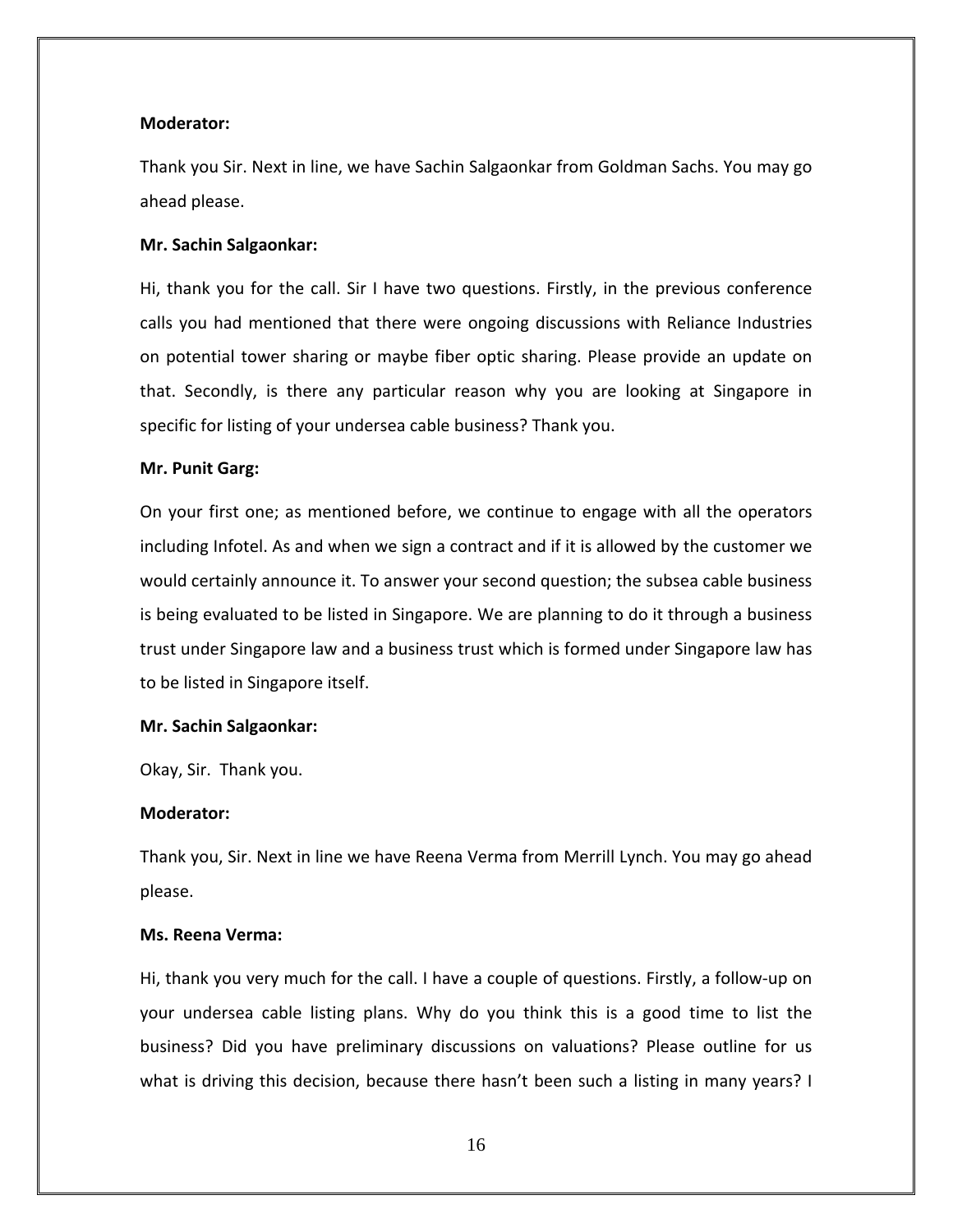#### **Moderator:**

Thank you Sir. Next in line, we have Sachin Salgaonkar from Goldman Sachs. You may go ahead please.

## **Mr. Sachin Salgaonkar:**

Hi, thank you for the call. Sir I have two questions. Firstly, in the previous conference calls you had mentioned that there were ongoing discussions with Reliance Industries on potential tower sharing or maybe fiber optic sharing. Please provide an update on that. Secondly, is there any particular reason why you are looking at Singapore in specific for listing of your undersea cable business? Thank you.

#### **Mr. Punit Garg:**

On your first one; as mentioned before, we continue to engage with all the operators including Infotel. As and when we sign a contract and if it is allowed by the customer we would certainly announce it. To answer your second question; the subsea cable business is being evaluated to be listed in Singapore. We are planning to do it through a business trust under Singapore law and a business trust which is formed under Singapore law has to be listed in Singapore itself.

#### **Mr. Sachin Salgaonkar:**

Okay, Sir. Thank you.

## **Moderator:**

Thank you, Sir. Next in line we have Reena Verma from Merrill Lynch. You may go ahead please.

## **Ms. Reena Verma:**

Hi, thank you very much for the call. I have a couple of questions. Firstly, a follow‐up on your undersea cable listing plans. Why do you think this is a good time to list the business? Did you have preliminary discussions on valuations? Please outline for us what is driving this decision, because there hasn't been such a listing in many years? I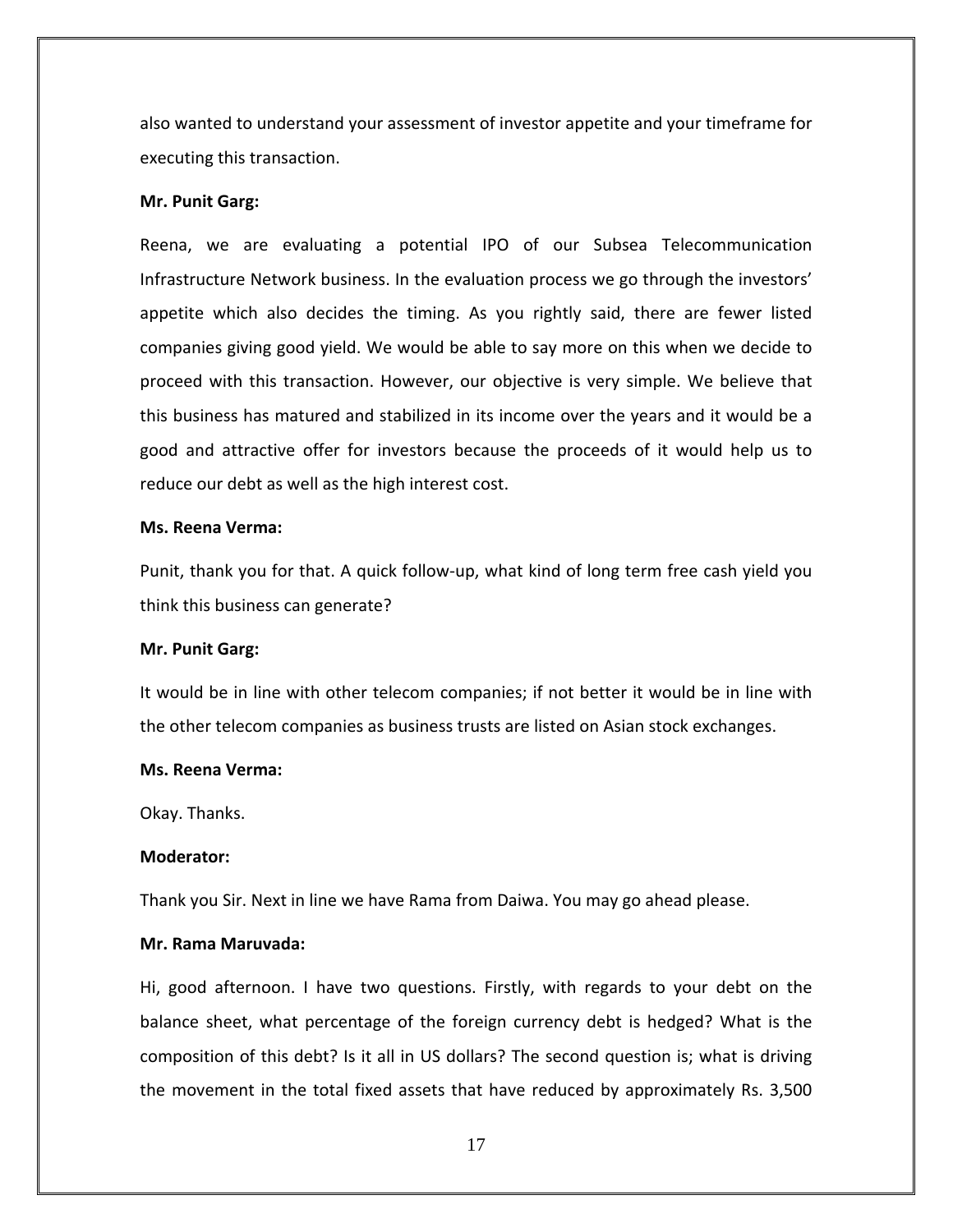also wanted to understand your assessment of investor appetite and your timeframe for executing this transaction.

#### **Mr. Punit Garg:**

Reena, we are evaluating a potential IPO of our Subsea Telecommunication Infrastructure Network business. In the evaluation process we go through the investors' appetite which also decides the timing. As you rightly said, there are fewer listed companies giving good yield. We would be able to say more on this when we decide to proceed with this transaction. However, our objective is very simple. We believe that this business has matured and stabilized in its income over the years and it would be a good and attractive offer for investors because the proceeds of it would help us to reduce our debt as well as the high interest cost.

#### **Ms. Reena Verma:**

Punit, thank you for that. A quick follow‐up, what kind of long term free cash yield you think this business can generate?

#### **Mr. Punit Garg:**

It would be in line with other telecom companies; if not better it would be in line with the other telecom companies as business trusts are listed on Asian stock exchanges.

#### **Ms. Reena Verma:**

Okay. Thanks.

#### **Moderator:**

Thank you Sir. Next in line we have Rama from Daiwa. You may go ahead please.

#### **Mr. Rama Maruvada:**

Hi, good afternoon. I have two questions. Firstly, with regards to your debt on the balance sheet, what percentage of the foreign currency debt is hedged? What is the composition of this debt? Is it all in US dollars? The second question is; what is driving the movement in the total fixed assets that have reduced by approximately Rs. 3,500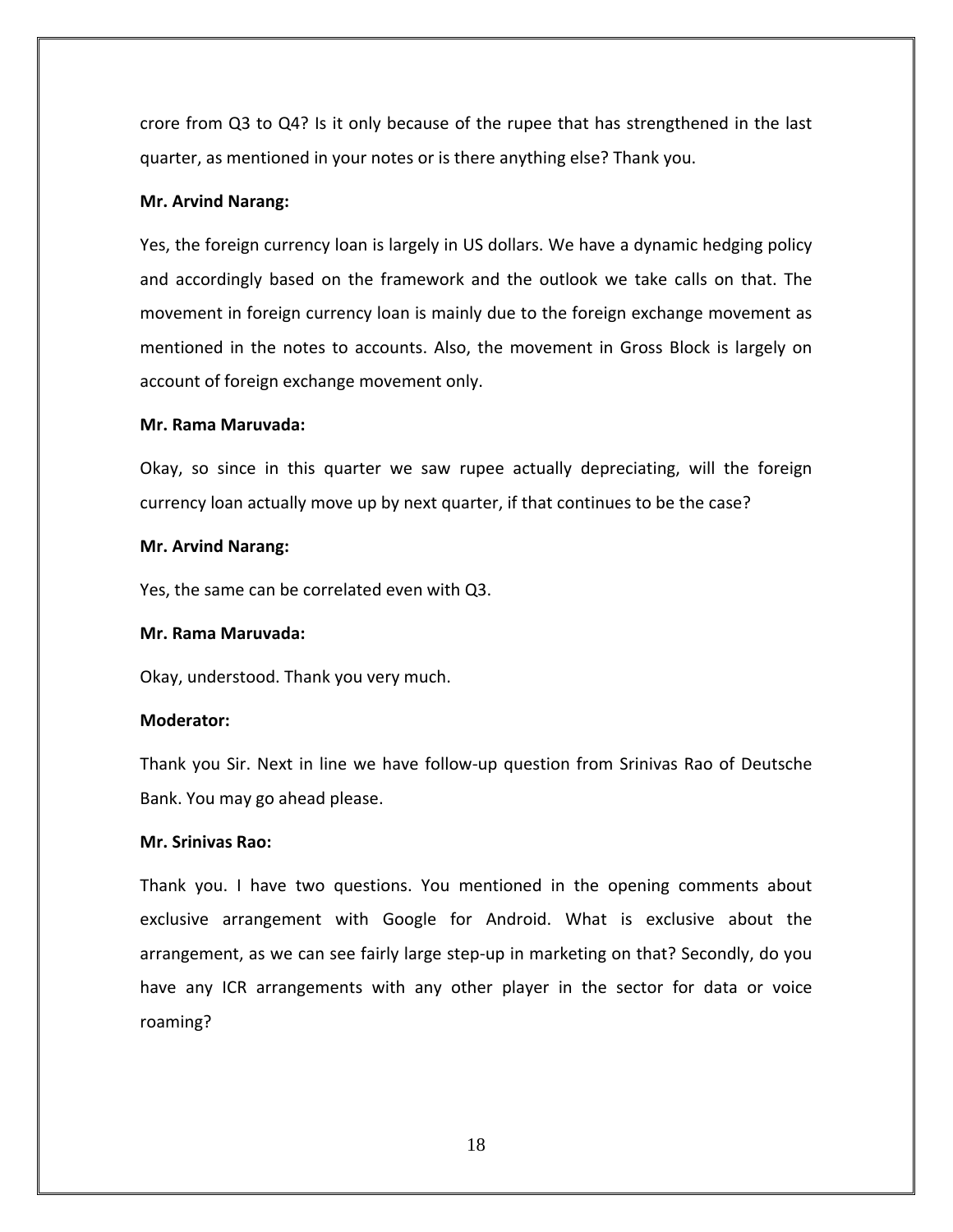crore from Q3 to Q4? Is it only because of the rupee that has strengthened in the last quarter, as mentioned in your notes or is there anything else? Thank you.

## **Mr. Arvind Narang:**

Yes, the foreign currency loan is largely in US dollars. We have a dynamic hedging policy and accordingly based on the framework and the outlook we take calls on that. The movement in foreign currency loan is mainly due to the foreign exchange movement as mentioned in the notes to accounts. Also, the movement in Gross Block is largely on account of foreign exchange movement only.

## **Mr. Rama Maruvada:**

Okay, so since in this quarter we saw rupee actually depreciating, will the foreign currency loan actually move up by next quarter, if that continues to be the case?

#### **Mr. Arvind Narang:**

Yes, the same can be correlated even with Q3.

#### **Mr. Rama Maruvada:**

Okay, understood. Thank you very much.

## **Moderator:**

Thank you Sir. Next in line we have follow‐up question from Srinivas Rao of Deutsche Bank. You may go ahead please.

## **Mr. Srinivas Rao:**

Thank you. I have two questions. You mentioned in the opening comments about exclusive arrangement with Google for Android. What is exclusive about the arrangement, as we can see fairly large step‐up in marketing on that? Secondly, do you have any ICR arrangements with any other player in the sector for data or voice roaming?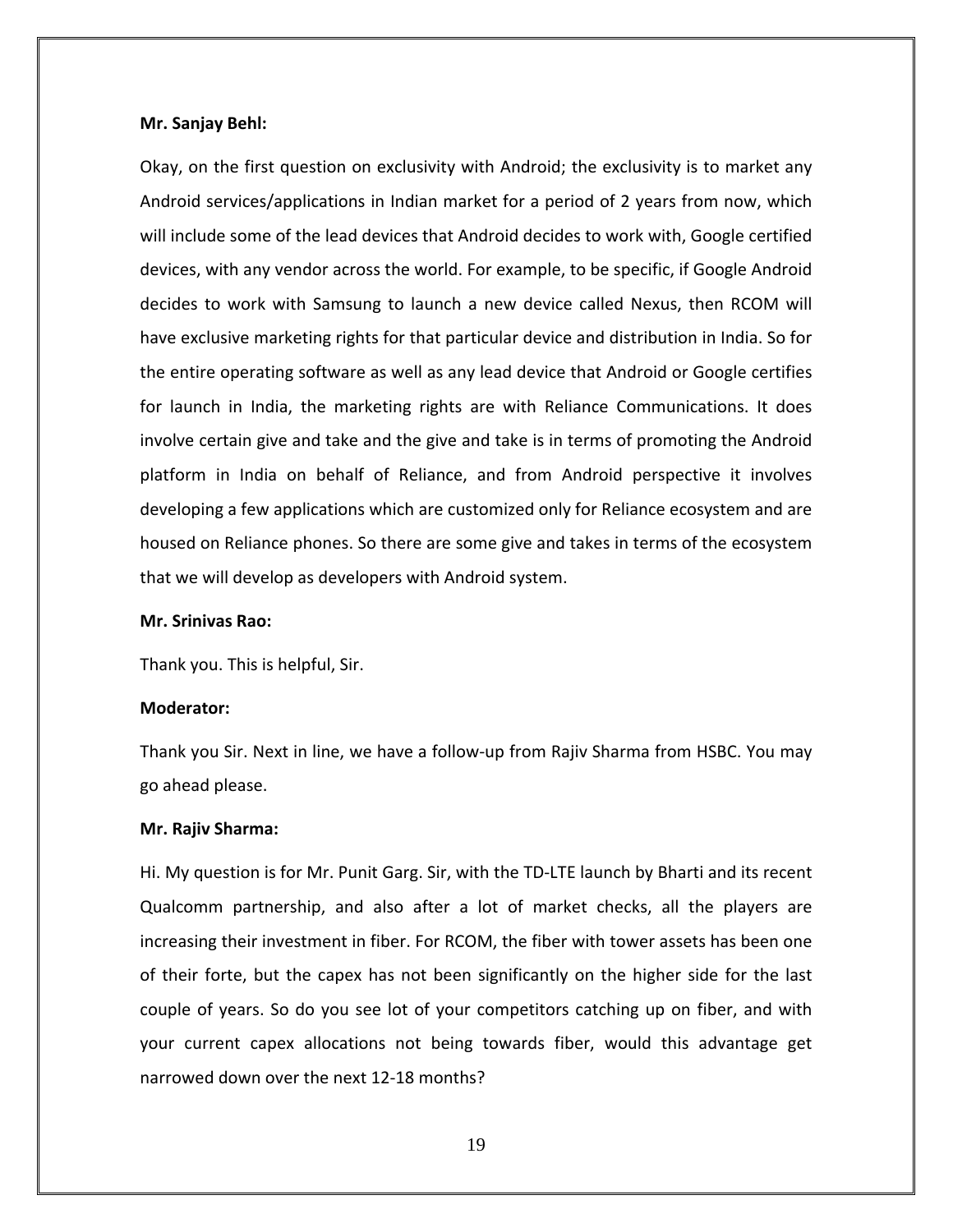#### **Mr. Sanjay Behl:**

Okay, on the first question on exclusivity with Android; the exclusivity is to market any Android services/applications in Indian market for a period of 2 years from now, which will include some of the lead devices that Android decides to work with, Google certified devices, with any vendor across the world. For example, to be specific, if Google Android decides to work with Samsung to launch a new device called Nexus, then RCOM will have exclusive marketing rights for that particular device and distribution in India. So for the entire operating software as well as any lead device that Android or Google certifies for launch in India, the marketing rights are with Reliance Communications. It does involve certain give and take and the give and take is in terms of promoting the Android platform in India on behalf of Reliance, and from Android perspective it involves developing a few applications which are customized only for Reliance ecosystem and are housed on Reliance phones. So there are some give and takes in terms of the ecosystem that we will develop as developers with Android system.

#### **Mr. Srinivas Rao:**

Thank you. This is helpful, Sir.

#### **Moderator:**

Thank you Sir. Next in line, we have a follow‐up from Rajiv Sharma from HSBC. You may go ahead please.

#### **Mr. Rajiv Sharma:**

Hi. My question is for Mr. Punit Garg. Sir, with the TD-LTE launch by Bharti and its recent Qualcomm partnership, and also after a lot of market checks, all the players are increasing their investment in fiber. For RCOM, the fiber with tower assets has been one of their forte, but the capex has not been significantly on the higher side for the last couple of years. So do you see lot of your competitors catching up on fiber, and with your current capex allocations not being towards fiber, would this advantage get narrowed down over the next 12‐18 months?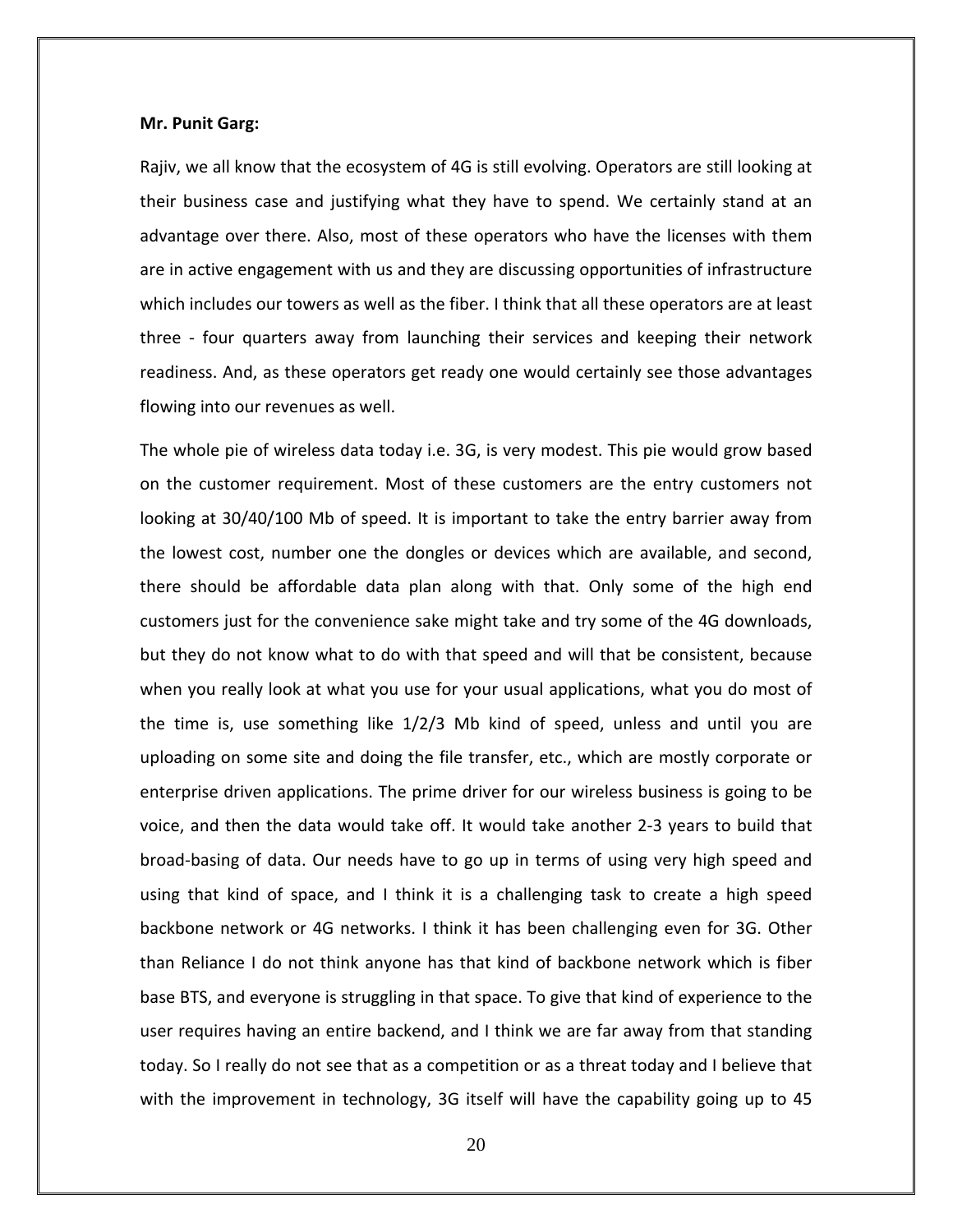#### **Mr. Punit Garg:**

Rajiv, we all know that the ecosystem of 4G is still evolving. Operators are still looking at their business case and justifying what they have to spend. We certainly stand at an advantage over there. Also, most of these operators who have the licenses with them are in active engagement with us and they are discussing opportunities of infrastructure which includes our towers as well as the fiber. I think that all these operators are at least three ‐ four quarters away from launching their services and keeping their network readiness. And, as these operators get ready one would certainly see those advantages flowing into our revenues as well.

The whole pie of wireless data today i.e. 3G, is very modest. This pie would grow based on the customer requirement. Most of these customers are the entry customers not looking at 30/40/100 Mb of speed. It is important to take the entry barrier away from the lowest cost, number one the dongles or devices which are available, and second, there should be affordable data plan along with that. Only some of the high end customers just for the convenience sake might take and try some of the 4G downloads, but they do not know what to do with that speed and will that be consistent, because when you really look at what you use for your usual applications, what you do most of the time is, use something like 1/2/3 Mb kind of speed, unless and until you are uploading on some site and doing the file transfer, etc., which are mostly corporate or enterprise driven applications. The prime driver for our wireless business is going to be voice, and then the data would take off. It would take another 2‐3 years to build that broad‐basing of data. Our needs have to go up in terms of using very high speed and using that kind of space, and I think it is a challenging task to create a high speed backbone network or 4G networks. I think it has been challenging even for 3G. Other than Reliance I do not think anyone has that kind of backbone network which is fiber base BTS, and everyone is struggling in that space. To give that kind of experience to the user requires having an entire backend, and I think we are far away from that standing today. So I really do not see that as a competition or as a threat today and I believe that with the improvement in technology, 3G itself will have the capability going up to 45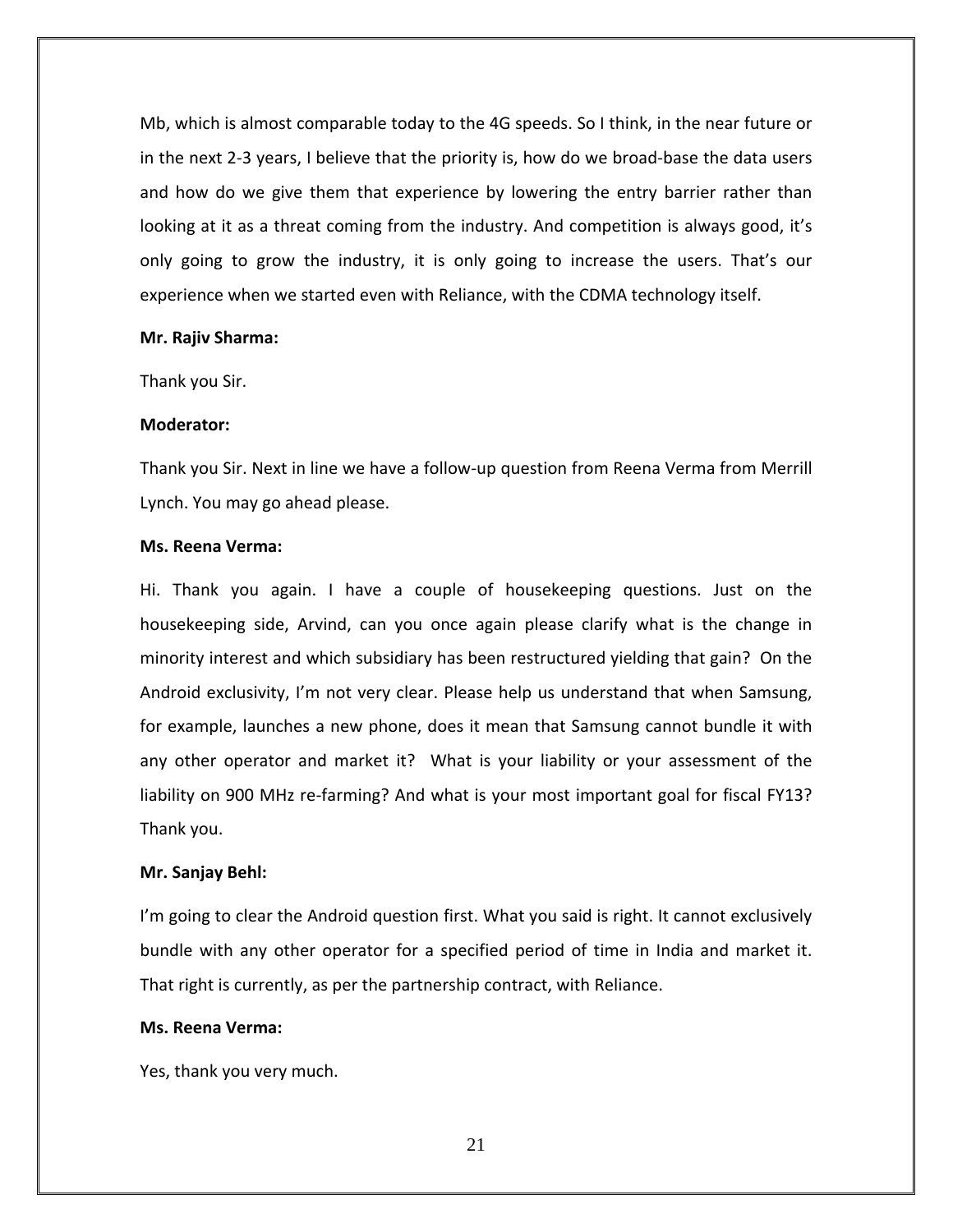Mb, which is almost comparable today to the 4G speeds. So I think, in the near future or in the next 2‐3 years, I believe that the priority is, how do we broad‐base the data users and how do we give them that experience by lowering the entry barrier rather than looking at it as a threat coming from the industry. And competition is always good, it's only going to grow the industry, it is only going to increase the users. That's our experience when we started even with Reliance, with the CDMA technology itself.

#### **Mr. Rajiv Sharma:**

Thank you Sir.

#### **Moderator:**

Thank you Sir. Next in line we have a follow‐up question from Reena Verma from Merrill Lynch. You may go ahead please.

#### **Ms. Reena Verma:**

Hi. Thank you again. I have a couple of housekeeping questions. Just on the housekeeping side, Arvind, can you once again please clarify what is the change in minority interest and which subsidiary has been restructured yielding that gain? On the Android exclusivity, I'm not very clear. Please help us understand that when Samsung, for example, launches a new phone, does it mean that Samsung cannot bundle it with any other operator and market it? What is your liability or your assessment of the liability on 900 MHz re-farming? And what is your most important goal for fiscal FY13? Thank you.

## **Mr. Sanjay Behl:**

I'm going to clear the Android question first. What you said is right. It cannot exclusively bundle with any other operator for a specified period of time in India and market it. That right is currently, as per the partnership contract, with Reliance.

## **Ms. Reena Verma:**

Yes, thank you very much.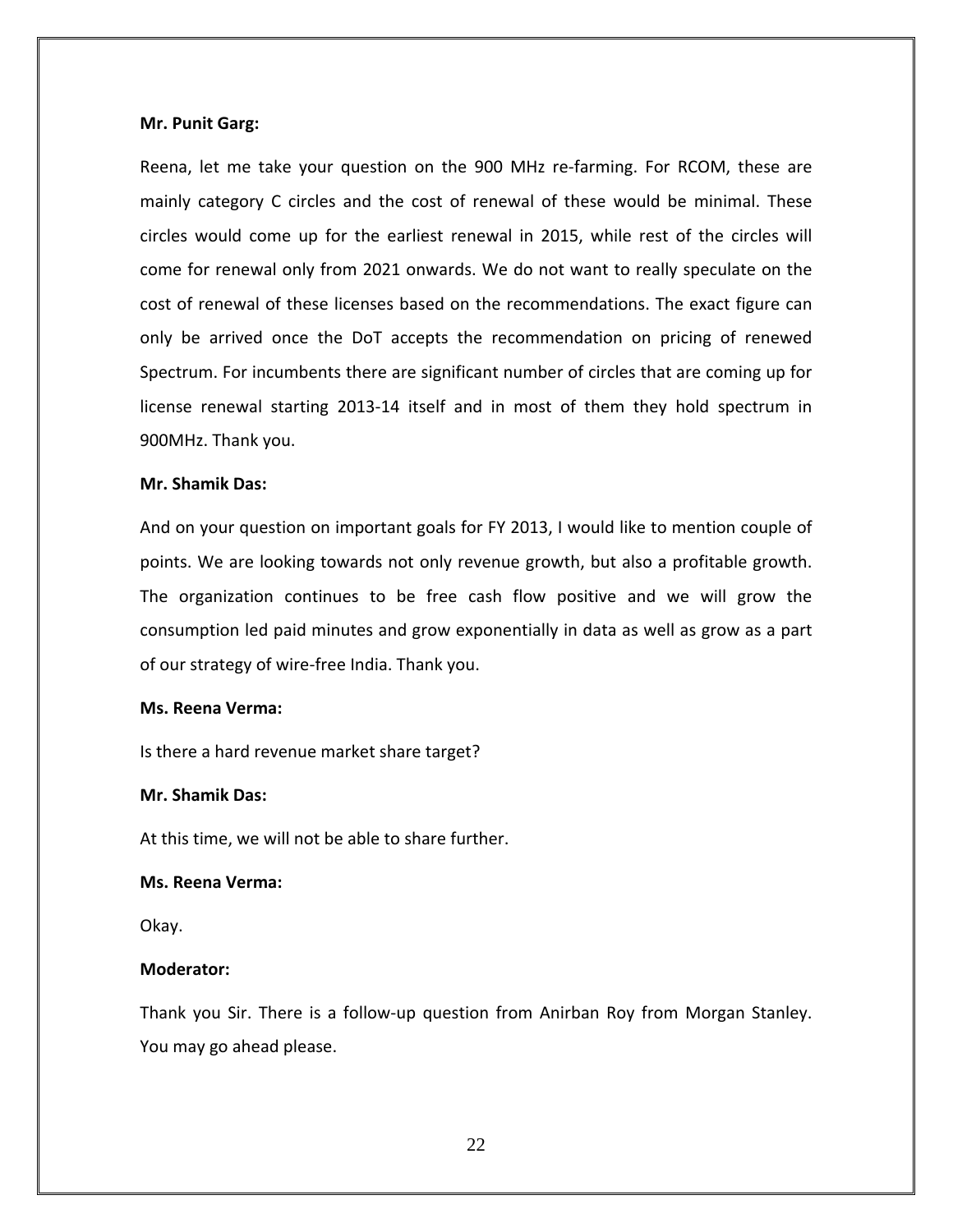#### **Mr. Punit Garg:**

Reena, let me take your question on the 900 MHz re‐farming. For RCOM, these are mainly category C circles and the cost of renewal of these would be minimal. These circles would come up for the earliest renewal in 2015, while rest of the circles will come for renewal only from 2021 onwards. We do not want to really speculate on the cost of renewal of these licenses based on the recommendations. The exact figure can only be arrived once the DoT accepts the recommendation on pricing of renewed Spectrum. For incumbents there are significant number of circles that are coming up for license renewal starting 2013‐14 itself and in most of them they hold spectrum in 900MHz. Thank you.

## **Mr. Shamik Das:**

And on your question on important goals for FY 2013, I would like to mention couple of points. We are looking towards not only revenue growth, but also a profitable growth. The organization continues to be free cash flow positive and we will grow the consumption led paid minutes and grow exponentially in data as well as grow as a part of our strategy of wire‐free India. Thank you.

#### **Ms. Reena Verma:**

Is there a hard revenue market share target?

# **Mr. Shamik Das:**

At this time, we will not be able to share further.

## **Ms. Reena Verma:**

Okay.

## **Moderator:**

Thank you Sir. There is a follow‐up question from Anirban Roy from Morgan Stanley. You may go ahead please.